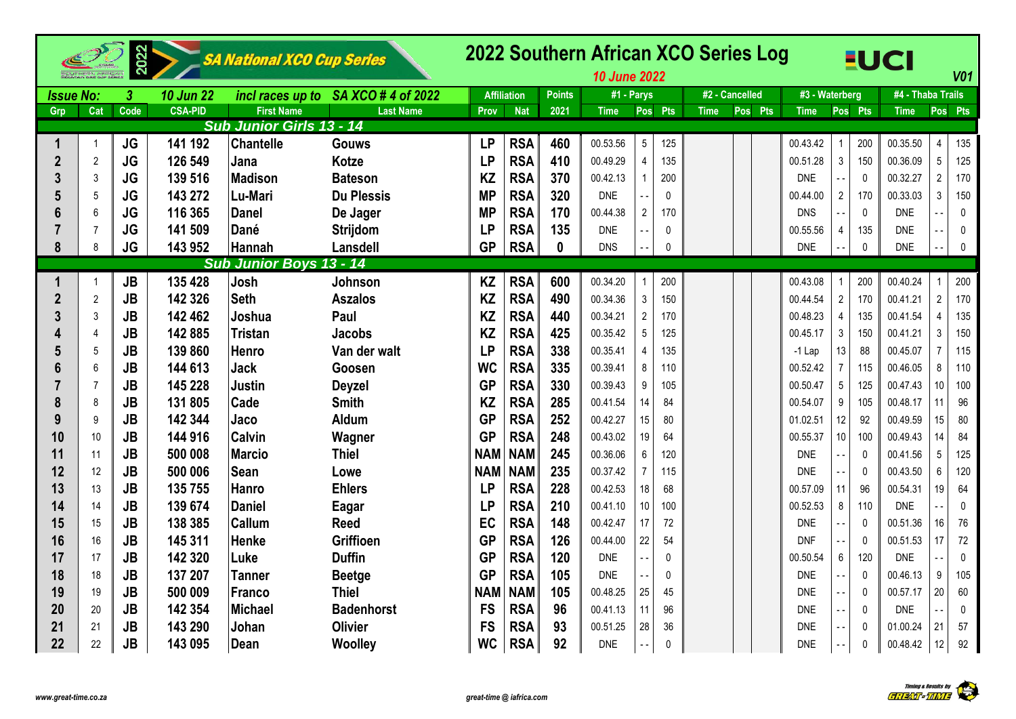|                  |                | 2022      |                  | SA National XCO Cup Series      |                    |            |                    |               | 2022 Southern African XCO Series Log<br><b>10 June 2022</b> |                 |              |                |         |                |                |              | <b>EUCI</b>       |                | V <sub>01</sub> |
|------------------|----------------|-----------|------------------|---------------------------------|--------------------|------------|--------------------|---------------|-------------------------------------------------------------|-----------------|--------------|----------------|---------|----------------|----------------|--------------|-------------------|----------------|-----------------|
| <b>Issue No:</b> |                | 3         | <b>10 Jun 22</b> | incl races up to                | SA XCO # 4 of 2022 |            | <b>Affiliation</b> | <b>Points</b> | #1 - Parys                                                  |                 |              | #2 - Cancelled |         | #3 - Waterberg |                |              | #4 - Thaba Trails |                |                 |
| Grp              | Cat            | Code      | <b>CSA-PID</b>   | <b>First Name</b>               | <b>Last Name</b>   | Prov       | <b>Nat</b>         | 2021          | <b>Time</b>                                                 |                 | Pos Pts      | <b>Time</b>    | Pos Pts | Time           |                | Pos Pts      | <b>Time</b>       | Pos Pts        |                 |
|                  |                |           |                  | <b>Sub Junior Girls 13 - 14</b> |                    |            |                    |               |                                                             |                 |              |                |         |                |                |              |                   |                |                 |
| 1                | $\overline{1}$ | <b>JG</b> | 141 192          | <b>Chantelle</b>                | <b>Gouws</b>       | <b>LP</b>  | <b>RSA</b>         | 460           | 00.53.56                                                    | $5\phantom{.0}$ | 125          |                |         | 00.43.42       |                | 200          | 00.35.50          | $\overline{4}$ | 135             |
| $\overline{2}$   | $\overline{2}$ | JG        | 126 549          | Jana                            | <b>Kotze</b>       | <b>LP</b>  | <b>RSA</b>         | 410           | 00.49.29                                                    | $\overline{4}$  | 135          |                |         | 00.51.28       | $\mathfrak{Z}$ | 150          | 00.36.09          | 5              | 125             |
| 3                | 3              | <b>JG</b> | 139 516          | <b>Madison</b>                  | <b>Bateson</b>     | <b>KZ</b>  | <b>RSA</b>         | 370           | 00.42.13                                                    |                 | 200          |                |         | <b>DNE</b>     |                | $\mathbf{0}$ | 00.32.27          | $\overline{2}$ | 170             |
| 5                | $\overline{5}$ | <b>JG</b> | 143 272          | Lu-Mari                         | <b>Du Plessis</b>  | <b>MP</b>  | <b>RSA</b>         | 320           | <b>DNE</b>                                                  |                 | $\mathbf{0}$ |                |         | 00.44.00       | $\overline{2}$ | 170          | 00.33.03          | 3              | 150             |
| 6                | 6              | <b>JG</b> | 116 365          | <b>Danel</b>                    | De Jager           | <b>MP</b>  | <b>RSA</b>         | 170           | 00.44.38                                                    | $\overline{2}$  | 170          |                |         | <b>DNS</b>     |                | $\mathbf 0$  | <b>DNE</b>        |                | $\mathbf 0$     |
| 7                | 7              | <b>JG</b> | 141 509          | Dané                            | Strijdom           | <b>LP</b>  | <b>RSA</b>         | 135           | <b>DNE</b>                                                  |                 | $\mathbf{0}$ |                |         | 00.55.56       | 4              | 135          | <b>DNE</b>        |                | $\mathbf{0}$    |
| 8                | 8              | <b>JG</b> | 143 952          | Hannah                          | Lansdell           | <b>GP</b>  | <b>RSA</b>         | $\mathbf{0}$  | <b>DNS</b>                                                  |                 | 0            |                |         | <b>DNE</b>     |                | $\pmb{0}$    | <b>DNE</b>        |                | $\mathbf 0$     |
|                  |                |           |                  | Sub Junior Boys 13 - 14         |                    |            |                    |               |                                                             |                 |              |                |         |                |                |              |                   |                |                 |
|                  | $\overline{1}$ | <b>JB</b> | 135 428          | Josh                            | Johnson            | <b>KZ</b>  | <b>RSA</b>         | 600           | 00.34.20                                                    |                 | 200          |                |         | 00.43.08       |                | 200          | 00.40.24          |                | 200             |
| $\overline{2}$   | $\overline{2}$ | <b>JB</b> | 142 326          | <b>Seth</b>                     | <b>Aszalos</b>     | <b>KZ</b>  | <b>RSA</b>         | 490           | 00.34.36                                                    | $\mathfrak{Z}$  | 150          |                |         | 00.44.54       | $\overline{c}$ | 170          | 00.41.21          | $\overline{2}$ | 170             |
| 3                | $\mathbf{3}$   | <b>JB</b> | 142 462          | Joshua                          | Paul               | <b>KZ</b>  | <b>RSA</b>         | 440           | 00.34.21                                                    | $\overline{2}$  | 170          |                |         | 00.48.23       | $\overline{4}$ | 135          | 00.41.54          | 4              | 135             |
|                  | $\overline{4}$ | <b>JB</b> | 142 885          | <b>Tristan</b>                  | <b>Jacobs</b>      | <b>KZ</b>  | <b>RSA</b>         | 425           | 00.35.42                                                    | $\sqrt{5}$      | 125          |                |         | 00.45.17       | 3              | 150          | 00.41.21          | 3              | 150             |
| 5                | 5              | <b>JB</b> | 139 860          | Henro                           | Van der walt       | <b>LP</b>  | <b>RSA</b>         | 338           | 00.35.41                                                    | $\overline{4}$  | 135          |                |         | $-1$ Lap       | 13             | 88           | 00.45.07          | 7              | 115             |
| 6                | 6              | JB        | 144 613          | <b>Jack</b>                     | Goosen             | <b>WC</b>  | <b>RSA</b>         | 335           | 00.39.41                                                    | 8               | 110          |                |         | 00.52.42       | $\overline{7}$ | 115          | 00.46.05          | 8              | 110             |
| 7                | $\overline{7}$ | <b>JB</b> | 145 228          | <b>Justin</b>                   | <b>Deyzel</b>      | <b>GP</b>  | <b>RSA</b>         | 330           | 00.39.43                                                    | 9               | 105          |                |         | 00.50.47       | 5              | 125          | 00.47.43          | 10             | 100             |
| 8                | 8              | <b>JB</b> | 131 805          | Cade                            | <b>Smith</b>       | <b>KZ</b>  | <b>RSA</b>         | 285           | 00.41.54                                                    | 14              | 84           |                |         | 00.54.07       | 9              | 105          | 00.48.17          | 11             | 96              |
| 9                | 9              | <b>JB</b> | 142 344          | Jaco                            | <b>Aldum</b>       | <b>GP</b>  | <b>RSA</b>         | 252           | 00.42.27                                                    | 15              | 80           |                |         | 01.02.51       | 12             | 92           | 00.49.59          | 15             | 80              |
| 10               | 10             | <b>JB</b> | 144 916          | <b>Calvin</b>                   | Wagner             | <b>GP</b>  | <b>RSA</b>         | 248           | 00.43.02                                                    | 19              | 64           |                |         | 00.55.37       | 10             | 100          | 00.49.43          | 14             | 84              |
| 11               | 11             | <b>JB</b> | 500 008          | <b>Marcio</b>                   | <b>Thiel</b>       | <b>NAM</b> | <b>NAM</b>         | 245           | 00.36.06                                                    | $6\phantom{.}$  | 120          |                |         | <b>DNE</b>     |                | $\mathbf 0$  | 00.41.56          | 5              | 125             |
| 12               | 12             | <b>JB</b> | 500 006          | <b>Sean</b>                     | Lowe               | <b>NAM</b> | <b>NAM</b>         | 235           | 00.37.42                                                    | $\overline{7}$  | 115          |                |         | <b>DNE</b>     |                | $\mathbf 0$  | 00.43.50          | 6              | 120             |
| 13               | 13             | <b>JB</b> | 135 755          | <b>Hanro</b>                    | <b>Ehlers</b>      | <b>LP</b>  | <b>RSA</b>         | 228           | 00.42.53                                                    | 18              | 68           |                |         | 00.57.09       | 11             | 96           | 00.54.31          | 19             | 64              |
| 14               | 14             | <b>JB</b> | 139 674          | <b>Daniel</b>                   | Eagar              | <b>LP</b>  | <b>RSA</b>         | 210           | 00.41.10                                                    | 10              | 100          |                |         | 00.52.53       | 8              | 110          | <b>DNE</b>        |                | $\mathbf{0}$    |
| 15               | 15             | <b>JB</b> | 138 385          | Callum                          | <b>Reed</b>        | EC         | <b>RSA</b>         | 148           | 00.42.47                                                    | 17              | 72           |                |         | <b>DNE</b>     |                | $\mathbf{0}$ | 00.51.36          | 16             | 76              |
| 16               | 16             | <b>JB</b> | 145 311          | <b>Henke</b>                    | <b>Griffioen</b>   | <b>GP</b>  | <b>RSA</b>         | 126           | 00.44.00                                                    | 22              | 54           |                |         | <b>DNF</b>     |                | $\mathbf 0$  | 00.51.53          | 17             | 72              |
| 17               | 17             | <b>JB</b> | 142 320          | Luke                            | <b>Duffin</b>      | <b>GP</b>  | <b>RSA</b>         | 120           | <b>DNE</b>                                                  |                 | 0            |                |         | 00.50.54       | 6              | 120          | <b>DNE</b>        |                | 0               |
| 18               | 18             | <b>JB</b> | 137 207          | <b>Tanner</b>                   | <b>Beetge</b>      | <b>GP</b>  | <b>RSA</b>         | 105           | <b>DNE</b>                                                  |                 | $\mathbf{0}$ |                |         | <b>DNE</b>     |                | $\mathbf{0}$ | 00.46.13          | 9              | 105             |
| 19               | 19             | <b>JB</b> | 500 009          | Franco                          | <b>Thiel</b>       | <b>NAN</b> | <b>NAM</b>         | 105           | 00.48.25                                                    | 25              | 45           |                |         | <b>DNE</b>     |                | $\mathbf{0}$ | 00.57.17          | 20             | 60              |
| 20               | 20             | <b>JB</b> | 142 354          | <b>Michael</b>                  | <b>Badenhorst</b>  | <b>FS</b>  | <b>RSA</b>         | 96            | 00.41.13                                                    | 11              | 96           |                |         | <b>DNE</b>     |                | $\mathbf{0}$ | <b>DNE</b>        |                | $\mathbf 0$     |
| 21               | 21             | <b>JB</b> | 143 290          | Johan                           | <b>Olivier</b>     | <b>FS</b>  | <b>RSA</b>         | 93            | 00.51.25                                                    | 28              | 36           |                |         | <b>DNE</b>     |                | 0            | 01.00.24          | 21             | 57              |
| 22               | 22             | JB        | 143 095          | Dean                            | Woolley            | <b>WC</b>  | <b>RSA</b>         | 92            | <b>DNE</b>                                                  |                 | $\Omega$     |                |         | <b>DNE</b>     |                | $\Omega$     | 00.48.42          | 12             | 92              |

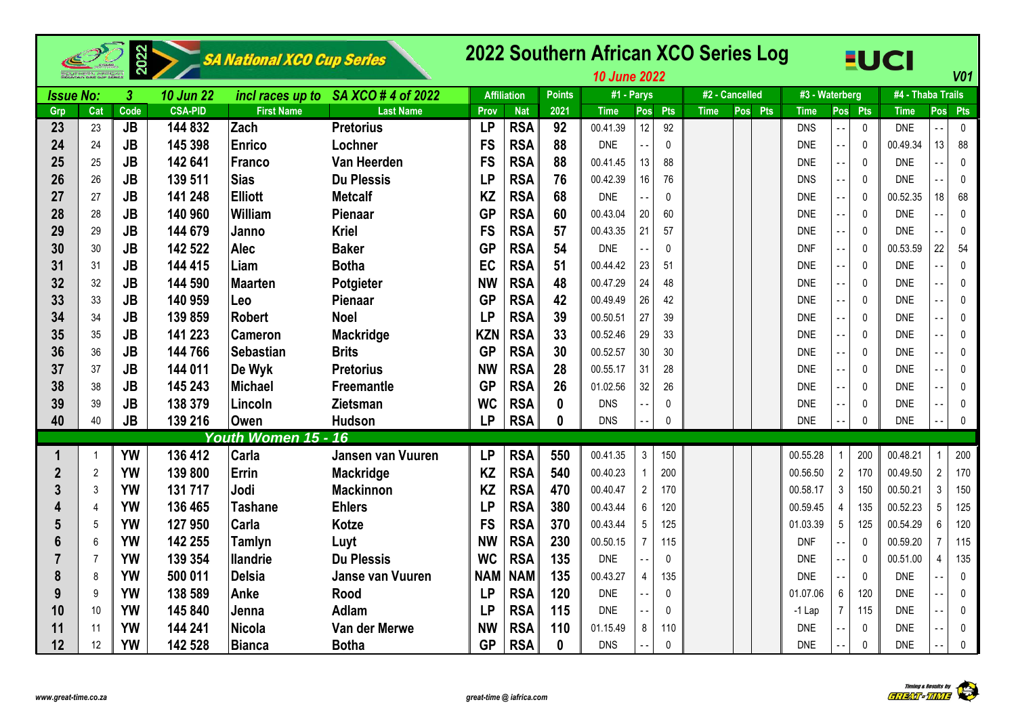|                  |                | 2022      |                  | SA National XCO Cup Series |                         |            |                    |               | 2022 Southern African XCO Series Log<br><b>10 June 2022</b> |                        |             |                |                |                |              | <b>EUCI</b>       |                | V <sub>01</sub> |
|------------------|----------------|-----------|------------------|----------------------------|-------------------------|------------|--------------------|---------------|-------------------------------------------------------------|------------------------|-------------|----------------|----------------|----------------|--------------|-------------------|----------------|-----------------|
| <b>Issue No:</b> |                | 3         | <b>10 Jun 22</b> | incl races up to           | SA XCO # 4 of 2022      |            | <b>Affiliation</b> | <b>Points</b> | #1 - Parys                                                  |                        |             | #2 - Cancelled | #3 - Waterberg |                |              | #4 - Thaba Trails |                |                 |
| Grp              | Cat            | Code      | <b>CSA-PID</b>   | <b>First Name</b>          | <b>Last Name</b>        | Prov       | <b>Nat</b>         | 2021          | <b>Time</b>                                                 | <b>Pts</b><br>Pos      | <b>Time</b> | Pos Pts        | <b>Time</b>    |                | Pos Pts      | <b>Time</b>       | <b>Pos</b>     | Pts             |
| 23               | 23             | <b>JB</b> | 144 832          | Zach                       | <b>Pretorius</b>        | <b>LP</b>  | <b>RSA</b>         | 92            | 00.41.39                                                    | 12<br>92               |             |                | <b>DNS</b>     |                | $\pmb{0}$    | <b>DNE</b>        |                | $\mathbf 0$     |
| 24               | 24             | <b>JB</b> | 145 398          | Enrico                     | Lochner                 | <b>FS</b>  | <b>RSA</b>         | 88            | <b>DNE</b>                                                  | $\mathbf{0}$           |             |                | <b>DNE</b>     |                | $\mathbf 0$  | 00.49.34          | 13             | 88              |
| 25               | 25             | <b>JB</b> | 142 641          | Franco                     | Van Heerden             | <b>FS</b>  | <b>RSA</b>         | 88            | 00.41.45                                                    | 13<br>88               |             |                | <b>DNE</b>     |                | $\mathbf{0}$ | <b>DNE</b>        |                | 0               |
| 26               | 26             | <b>JB</b> | 139 511          | Sias                       | <b>Du Plessis</b>       | <b>LP</b>  | <b>RSA</b>         | 76            | 00.42.39                                                    | 16<br>76               |             |                | <b>DNS</b>     |                | $\mathbf{0}$ | <b>DNE</b>        |                | $\mathbf 0$     |
| 27               | 27             | <b>JB</b> | 141 248          | <b>Elliott</b>             | <b>Metcalf</b>          | <b>KZ</b>  | <b>RSA</b>         | 68            | <b>DNE</b>                                                  | 0                      |             |                | <b>DNE</b>     |                | $\mathbf 0$  | 00.52.35          | 18             | 68              |
| 28               | 28             | <b>JB</b> | 140 960          | William                    | Pienaar                 | <b>GP</b>  | <b>RSA</b>         | 60            | 00.43.04                                                    | 20<br>60               |             |                | <b>DNE</b>     |                | $\mathbf 0$  | <b>DNE</b>        |                | $\mathbf{0}$    |
| 29               | 29             | <b>JB</b> | 144 679          | Janno                      | <b>Kriel</b>            | <b>FS</b>  | <b>RSA</b>         | 57            | 00.43.35                                                    | 21<br>57               |             |                | <b>DNE</b>     |                | $\mathbf 0$  | <b>DNE</b>        |                | $\mathbf 0$     |
| 30               | 30             | <b>JB</b> | 142 522          | <b>Alec</b>                | <b>Baker</b>            | <b>GP</b>  | <b>RSA</b>         | 54            | <b>DNE</b>                                                  | $\mathbf{0}$           |             |                | <b>DNF</b>     |                | $\mathbf 0$  | 00.53.59          | 22             | 54              |
| 31               | 31             | <b>JB</b> | 144 415          | Liam                       | <b>Botha</b>            | EC         | <b>RSA</b>         | 51            | 00.44.42                                                    | 23<br>51               |             |                | <b>DNE</b>     |                | $\mathbf 0$  | <b>DNE</b>        |                | 0               |
| 32               | 32             | JB        | 144 590          | Maarten                    | Potgieter               | <b>NW</b>  | <b>RSA</b>         | 48            | 00.47.29                                                    | 24<br>48               |             |                | <b>DNE</b>     |                | $\pmb{0}$    | <b>DNE</b>        |                | $\mathbf 0$     |
| 33               | 33             | JB        | 140 959          | Leo                        | Pienaar                 | <b>GP</b>  | <b>RSA</b>         | 42            | 00.49.49                                                    | 26<br>42               |             |                | <b>DNE</b>     |                | $\mathbf 0$  | <b>DNE</b>        | $\sim$ $\sim$  | 0               |
| 34               | 34             | JB        | 139 859          | <b>Robert</b>              | <b>Noel</b>             | <b>LP</b>  | <b>RSA</b>         | 39            | 00.50.51                                                    | 27<br>39               |             |                | <b>DNE</b>     |                | $\mathbf 0$  | <b>DNE</b>        |                | 0               |
| 35               | 35             | JB        | 141 223          | <b>Cameron</b>             | <b>Mackridge</b>        | <b>KZN</b> | <b>RSA</b>         | 33            | 00.52.46                                                    | 29<br>33               |             |                | <b>DNE</b>     |                | $\mathbf 0$  | <b>DNE</b>        |                | $\mathbf 0$     |
| 36               | 36             | <b>JB</b> | 144 766          | <b>Sebastian</b>           | <b>Brits</b>            | <b>GP</b>  | <b>RSA</b>         | 30            | 00.52.57                                                    | 30<br>30               |             |                | <b>DNE</b>     |                | $\mathbf 0$  | <b>DNE</b>        |                | 0               |
| 37               | 37             | <b>JB</b> | 144 011          | De Wyk                     | <b>Pretorius</b>        | <b>NW</b>  | <b>RSA</b>         | 28            | 00.55.17                                                    | 31<br>28               |             |                | <b>DNE</b>     |                | $\mathbf 0$  | <b>DNE</b>        |                | $\mathbf{0}$    |
| 38               | 38             | <b>JB</b> | 145 243          | Michael                    | <b>Freemantle</b>       | <b>GP</b>  | <b>RSA</b>         | 26            | 01.02.56                                                    | 32<br>26               |             |                | <b>DNE</b>     |                | $\mathbf 0$  | <b>DNE</b>        |                | $\mathbf{0}$    |
| 39               | 39             | <b>JB</b> | 138 379          | Lincoln                    | <b>Zietsman</b>         | <b>WC</b>  | <b>RSA</b>         | $\mathbf{0}$  | <b>DNS</b>                                                  | $\mathbf 0$            |             |                | <b>DNE</b>     |                | 0            | <b>DNE</b>        |                | 0               |
| 40               | 40             | <b>JB</b> | 139 216          | Owen                       | <b>Hudson</b>           | <b>LP</b>  | <b>RSA</b>         | $\mathbf{0}$  | <b>DNS</b>                                                  | 0                      |             |                | <b>DNE</b>     |                | 0            | <b>DNE</b>        |                | $\mathbf{0}$    |
|                  |                |           |                  | Youth Women 15 - 16        |                         |            |                    |               |                                                             |                        |             |                |                |                |              |                   |                |                 |
| 1                | -1             | <b>YW</b> | 136 412          | Carla                      | Jansen van Vuuren       | <b>LP</b>  | <b>RSA</b>         | 550           | 00.41.35                                                    | $\mathfrak{Z}$<br>150  |             |                | 00.55.28       |                | 200          | 00.48.21          |                | 200             |
| $\boldsymbol{2}$ | $\overline{2}$ | <b>YW</b> | 139 800          | Errin                      | <b>Mackridge</b>        | <b>KZ</b>  | <b>RSA</b>         | 540           | 00.40.23                                                    | 200<br>$\mathbf{1}$    |             |                | 00.56.50       | $\overline{2}$ | 170          | 00.49.50          | $\overline{2}$ | 170             |
|                  | 3              | <b>YW</b> | 131 717          | Jodi                       | <b>Mackinnon</b>        | <b>KZ</b>  | <b>RSA</b>         | 470           | 00.40.47                                                    | $\overline{2}$<br>170  |             |                | 00.58.17       | $\mathfrak{Z}$ | 150          | 00.50.21          | 3              | 150             |
|                  | $\overline{4}$ | <b>YW</b> | 136 465          | <b>Tashane</b>             | <b>Ehlers</b>           | <b>LP</b>  | <b>RSA</b>         | 380           | 00.43.44                                                    | $6\phantom{.0}$<br>120 |             |                | 00.59.45       | 4              | 135          | 00.52.23          | 5              | 125             |
| 5                | 5              | <b>YW</b> | 127 950          | Carla                      | <b>Kotze</b>            | <b>FS</b>  | <b>RSA</b>         | 370           | 00.43.44                                                    | $5\phantom{.0}$<br>125 |             |                | 01.03.39       | $\sqrt{5}$     | 125          | 00.54.29          | 6              | 120             |
| 6                | 6              | <b>YW</b> | 142 255          | <b>Tamlyn</b>              | Luyt                    | <b>NW</b>  | <b>RSA</b>         | 230           | 00.50.15                                                    | $\overline{7}$<br>115  |             |                | <b>DNF</b>     |                | $\mathbf 0$  | 00.59.20          | $\overline{7}$ | 115             |
|                  | 7              | <b>YW</b> | 139 354          | <b>Ilandrie</b>            | <b>Du Plessis</b>       | <b>WC</b>  | <b>RSA</b>         | 135           | <b>DNE</b>                                                  | $\mathbf{0}$           |             |                | <b>DNE</b>     |                | $\mathbf{0}$ | 00.51.00          | $\overline{A}$ | 135             |
|                  | 8              | <b>YW</b> | 500 011          | Delsia                     | <b>Janse van Vuuren</b> | <b>NAM</b> | <b>NAM</b>         | 135           | 00.43.27                                                    | $\overline{4}$<br>135  |             |                | <b>DNE</b>     |                | $\mathbf{0}$ | <b>DNE</b>        |                | $\mathbf 0$     |
| g                | 9              | <b>YW</b> | 138 589          | <b>Anke</b>                | <b>Rood</b>             | <b>LP</b>  | <b>RSA</b>         | 120           | <b>DNE</b>                                                  | $\mathbf{0}$           |             |                | 01.07.06       | 6              | 120          | <b>DNE</b>        |                | $\mathbf 0$     |
| 10               | 10             | <b>YW</b> | 145 840          | Jenna                      | <b>Adlam</b>            | <b>LP</b>  | <b>RSA</b>         | 115           | <b>DNE</b>                                                  | 0                      |             |                | $-1$ Lap       | $\overline{7}$ | 115          | <b>DNE</b>        |                | 0               |
| 11               | -11            | <b>YW</b> | 144 241          | Nicola                     | Van der Merwe           | <b>NW</b>  | <b>RSA</b>         | 110           | 01.15.49                                                    | 8<br>110               |             |                | <b>DNE</b>     |                | $\mathbf 0$  | <b>DNE</b>        | $\sim$ $\sim$  | 0               |
| 12               | 12             | <b>YW</b> | 142 528          | <b>Bianca</b>              | <b>Botha</b>            | <b>GP</b>  | <b>RSA</b>         | $\mathbf{0}$  | <b>DNS</b>                                                  | $\mathbf{0}$           |             |                | <b>DNE</b>     |                | $\mathbf 0$  | <b>DNE</b>        |                | 0               |

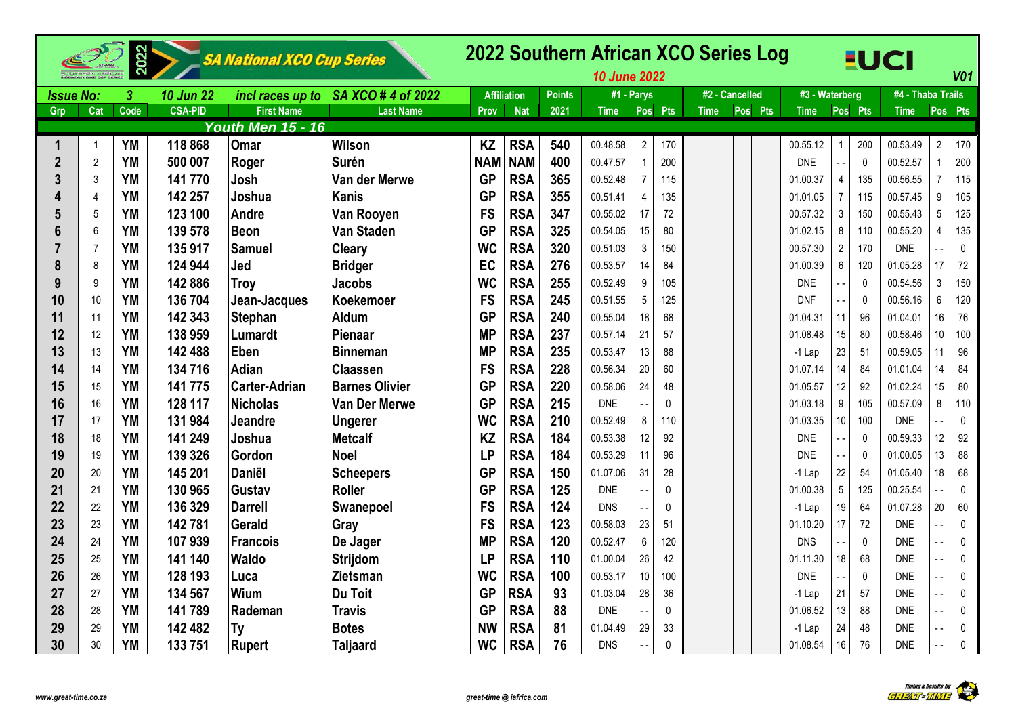|                  |                | 2022             |                  | SA National XCO Cup Series |                                     |            |                    |               | 2022 Southern African XCO Series Log<br><b>10 June 2022</b> |                |             |             |                |                |                           |              | <b>EUCI</b>       |                | V <sub>01</sub> |
|------------------|----------------|------------------|------------------|----------------------------|-------------------------------------|------------|--------------------|---------------|-------------------------------------------------------------|----------------|-------------|-------------|----------------|----------------|---------------------------|--------------|-------------------|----------------|-----------------|
| <b>Issue No:</b> |                | $\boldsymbol{3}$ | <b>10 Jun 22</b> |                            | incl races up to SA XCO # 4 of 2022 |            | <b>Affiliation</b> | <b>Points</b> | #1 - Parys                                                  |                |             |             | #2 - Cancelled | #3 - Waterberg |                           |              | #4 - Thaba Trails |                |                 |
| Grp              | Cat            | Code             | <b>CSA-PID</b>   | <b>First Name</b>          | <b>Last Name</b>                    | Prov       | <b>Nat</b>         | 2021          | <b>Time</b>                                                 |                | Pos Pts     | <b>Time</b> | Pos Pts        | <b>Time</b>    |                           | Pos Pts      | <b>Time</b>       |                | Pos Pts         |
|                  |                |                  |                  | <b>Youth Men 15 - 16</b>   |                                     |            |                    |               |                                                             |                |             |             |                |                |                           |              |                   |                |                 |
|                  | $\overline{1}$ | <b>YM</b>        | 118 868          | Omar                       | <b>Wilson</b>                       | <b>KZ</b>  | <b>RSA</b>         | 540           | 00.48.58                                                    | $\overline{2}$ | 170         |             |                | 00.55.12       | $\mathbf{1}$              | 200          | 00.53.49          | $\overline{2}$ | 170             |
| $\mathbf{2}$     | $\overline{2}$ | YM               | 500 007          | Roger                      | <b>Surén</b>                        | <b>NAM</b> | <b>NAM</b>         | 400           | 00.47.57                                                    | $\mathbf{1}$   | 200         |             |                | <b>DNE</b>     |                           | $\mathbf{0}$ | 00.52.57          |                | 200             |
| 3                | 3              | YM               | 141 770          | Josh                       | Van der Merwe                       | <b>GP</b>  | <b>RSA</b>         | 365           | 00.52.48                                                    | $\overline{7}$ | 115         |             |                | 01.00.37       | $\overline{4}$            | 135          | 00.56.55          |                | 115             |
|                  | $\overline{4}$ | <b>YM</b>        | 142 257          | Joshua                     | Kanis                               | <b>GP</b>  | <b>RSA</b>         | 355           | 00.51.41                                                    | $\overline{4}$ | 135         |             |                | 01.01.05       | $\overline{7}$            | 115          | 00.57.45          | 9              | 105             |
| 5                | 5              | <b>YM</b>        | 123 100          | <b>Andre</b>               | Van Rooyen                          | <b>FS</b>  | <b>RSA</b>         | 347           | 00.55.02                                                    | 17             | 72          |             |                | 00.57.32       | $\ensuremath{\mathsf{3}}$ | 150          | 00.55.43          | $\overline{5}$ | 125             |
| 6                | 6              | <b>YM</b>        | 139 578          | <b>Beon</b>                | <b>Van Staden</b>                   | <b>GP</b>  | <b>RSA</b>         | 325           | 00.54.05                                                    | 15             | 80          |             |                | 01.02.15       | 8                         | 110          | 00.55.20          | $\overline{4}$ | 135             |
|                  | 7              | <b>YM</b>        | 135 917          | <b>Samuel</b>              | <b>Cleary</b>                       | <b>WC</b>  | <b>RSA</b>         | 320           | 00.51.03                                                    | $\mathbf{3}$   | 150         |             |                | 00.57.30       | $\overline{2}$            | 170          | <b>DNE</b>        |                | 0               |
| 8                | 8              | <b>YM</b>        | 124 944          | Jed                        | <b>Bridger</b>                      | EC         | <b>RSA</b>         | 276           | 00.53.57                                                    | 14             | 84          |             |                | 01.00.39       | 6                         | 120          | 01.05.28          | 17             | 72              |
| 9                | 9              | <b>YM</b>        | 142 886          | <b>Troy</b>                | <b>Jacobs</b>                       | <b>WC</b>  | <b>RSA</b>         | 255           | 00.52.49                                                    | 9              | 105         |             |                | <b>DNE</b>     | $\overline{a}$            | $\mathbf{0}$ | 00.54.56          | $\mathbf{3}$   | 150             |
| 10               | 10             | <b>YM</b>        | 136 704          | Jean-Jacques               | <b>Koekemoer</b>                    | <b>FS</b>  | <b>RSA</b>         | 245           | 00.51.55                                                    | 5              | 125         |             |                | <b>DNF</b>     | $\overline{\phantom{a}}$  | $\mathbf{0}$ | 00.56.16          | $\,6\,$        | 120             |
| 11               | 11             | <b>YM</b>        | 142 343          | <b>Stephan</b>             | Aldum                               | <b>GP</b>  | <b>RSA</b>         | 240           | 00.55.04                                                    | 18             | 68          |             |                | 01.04.31       | 11                        | 96           | 01.04.01          | 16             | 76              |
| 12               | 12             | <b>YM</b>        | 138 959          | Lumardt                    | Pienaar                             | <b>MP</b>  | <b>RSA</b>         | 237           | 00.57.14                                                    | 21             | 57          |             |                | 01.08.48       | 15 <sup>15</sup>          | 80           | 00.58.46          | 10             | 100             |
| 13               | 13             | YM               | 142 488          | Eben                       | <b>Binneman</b>                     | <b>MP</b>  | <b>RSA</b>         | 235           | 00.53.47                                                    | 13             | 88          |             |                | $-1$ Lap       | 23                        | 51           | 00.59.05          |                | 96              |
| 14               | 14             | YM               | 134 716          | <b>Adian</b>               | <b>Claassen</b>                     | <b>FS</b>  | <b>RSA</b>         | 228           | 00.56.34                                                    | 20             | 60          |             |                | 01.07.14       | 14                        | 84           | 01.01.04          | 14             | 84              |
| 15               | 15             | <b>YM</b>        | 141 775          | <b>Carter-Adrian</b>       | <b>Barnes Olivier</b>               | <b>GP</b>  | <b>RSA</b>         | 220           | 00.58.06                                                    | 24             | 48          |             |                | 01.05.57       | 12                        | 92           | 01.02.24          | 15             | 80              |
| 16               | 16             | <b>YM</b>        | 128 117          | <b>Nicholas</b>            | Van Der Merwe                       | <b>GP</b>  | <b>RSA</b>         | 215           | <b>DNE</b>                                                  |                | $\pmb{0}$   |             |                | 01.03.18       | 9                         | 105          | 00.57.09          | 8              | 110             |
| 17               | 17             | <b>YM</b>        | 131 984          | Jeandre                    | <b>Ungerer</b>                      | <b>WC</b>  | <b>RSA</b>         | 210           | 00.52.49                                                    | 8              | 110         |             |                | 01.03.35       | 10 <sup>1</sup>           | 100          | <b>DNE</b>        |                | $\pmb{0}$       |
| 18               | 18             | <b>YM</b>        | 141 249          | Joshua                     | <b>Metcalf</b>                      | <b>KZ</b>  | <b>RSA</b>         | 184           | 00.53.38                                                    | 12             | 92          |             |                | <b>DNE</b>     | $ -$                      | $\mathbf{0}$ | 00.59.33          | 12             | 92              |
| 19               | 19             | <b>YM</b>        | 139 326          | Gordon                     | <b>Noel</b>                         | <b>LP</b>  | <b>RSA</b>         | 184           | 00.53.29                                                    | 11             | 96          |             |                | <b>DNE</b>     | - -                       | $\mathbf{0}$ | 01.00.05          | 13             | 88              |
| 20               | 20             | <b>YM</b>        | 145 201          | Daniël                     | <b>Scheepers</b>                    | <b>GP</b>  | <b>RSA</b>         | 150           | 01.07.06                                                    | 31             | 28          |             |                | $-1$ Lap       | 22                        | 54           | 01.05.40          | 18             | 68              |
| 21               | 21             | <b>YM</b>        | 130 965          | Gustav                     | <b>Roller</b>                       | <b>GP</b>  | <b>RSA</b>         | 125           | <b>DNE</b>                                                  |                | $\mathbf 0$ |             |                | 01.00.38       | $5\phantom{.0}$           | 125          | 00.25.54          |                | $\pmb{0}$       |
| 22               | 22             | <b>YM</b>        | 136 329          | <b>Darrell</b>             | Swanepoel                           | <b>FS</b>  | <b>RSA</b>         | 124           | <b>DNS</b>                                                  | $\sim$ $\sim$  | $\mathbf 0$ |             |                | -1 Lap         | 19                        | 64           | 01.07.28          | 20             | 60              |
| 23               | 23             | <b>YM</b>        | 142781           | Gerald                     | Gray                                | <b>FS</b>  | <b>RSA</b>         | 123           | 00.58.03                                                    | 23             | 51          |             |                | 01.10.20       | 17                        | 72           | <b>DNE</b>        |                | $\mathbf 0$     |
| 24               | 24             | <b>YM</b>        | 107939           | <b>Francois</b>            | De Jager                            | <b>MP</b>  | <b>RSA</b>         | 120           | 00.52.47                                                    | 6              | 120         |             |                | <b>DNS</b>     |                           | $\mathbf{0}$ | <b>DNE</b>        |                | 0               |
| 25               | 25             | <b>YM</b>        | 141 140          | <b>Waldo</b>               | <b>Strijdom</b>                     | <b>LP</b>  | <b>RSA</b>         | 110           | 01.00.04                                                    | 26             | 42          |             |                | 01.11.30       | 18                        | 68           | <b>DNE</b>        |                | $\pmb{0}$       |
| 26               | 26             | <b>YM</b>        | 128 193          | Luca                       | <b>Zietsman</b>                     | <b>WC</b>  | <b>RSA</b>         | 100           | 00.53.17                                                    | 10             | 100         |             |                | <b>DNE</b>     |                           | $\mathbf 0$  | <b>DNE</b>        |                | 0               |
| 27               | 27             | <b>YM</b>        | 134 567          | Wium                       | Du Toit                             | <b>GP</b>  | <b>RSA</b>         | 93            | 01.03.04                                                    | 28             | 36          |             |                | $-1$ Lap       | 21                        | 57           | <b>DNE</b>        |                | $\pmb{0}$       |
| 28               | 28             | <b>YM</b>        | 141789           | Rademan                    | <b>Travis</b>                       | <b>GP</b>  | <b>RSA</b>         | 88            | <b>DNE</b>                                                  |                | $\mathbf 0$ |             |                | 01.06.52       | 13                        | 88           | <b>DNE</b>        |                | 0               |
| 29               | 29             | <b>YM</b>        | 142 482          | Ty                         | <b>Botes</b>                        | <b>NW</b>  | <b>RSA</b>         | 81            | 01.04.49                                                    | 29             | 33          |             |                | $-1$ Lap       | 24                        | 48           | <b>DNE</b>        |                | 0               |
| 30               | 30             | <b>YM</b>        | 133 751          | Rupert                     | <b>Taljaard</b>                     | <b>WC</b>  | <b>RSA</b>         | 76            | <b>DNS</b>                                                  |                | $\pmb{0}$   |             |                | 01.08.54       | $16\,$                    | 76           | <b>DNE</b>        |                | $\pmb{0}$       |

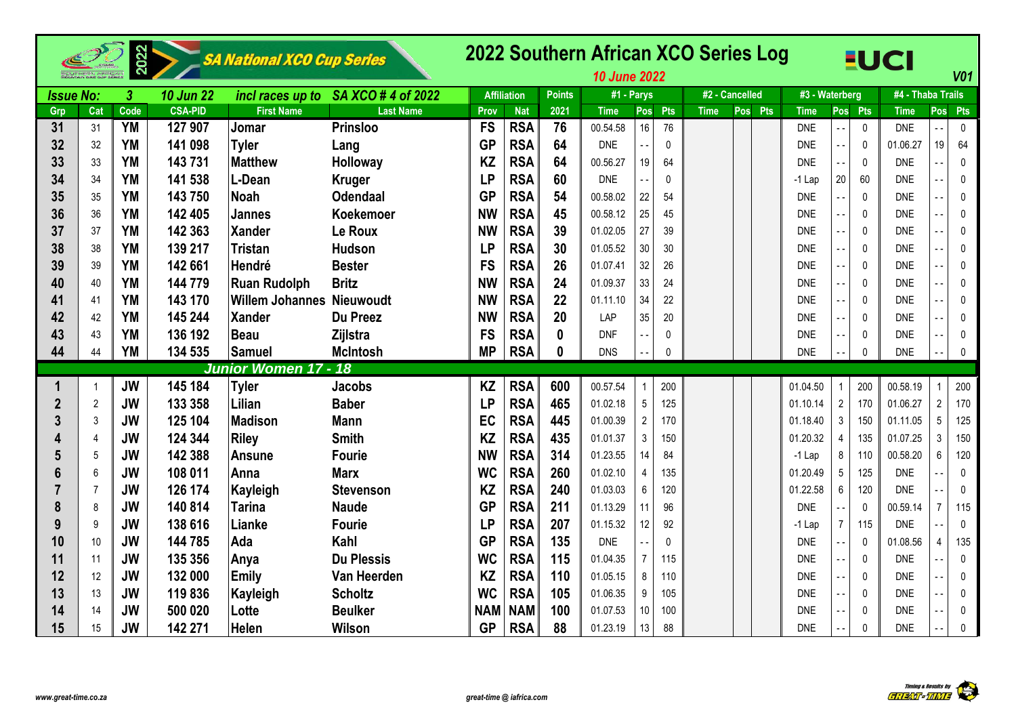|                  |                | 2022                 |                  | SA National XCO Cup Series       |                                     |            |                    |               | 2022 Southern African XCO Series Log<br><b>10 June 2022</b> |                |              |                |         |                |                |              | <b>EUCI</b>       |                | V <sub>01</sub> |
|------------------|----------------|----------------------|------------------|----------------------------------|-------------------------------------|------------|--------------------|---------------|-------------------------------------------------------------|----------------|--------------|----------------|---------|----------------|----------------|--------------|-------------------|----------------|-----------------|
| <b>Issue No:</b> |                | $\boldsymbol{\beta}$ | <b>10 Jun 22</b> |                                  | incl races up to SA XCO # 4 of 2022 |            | <b>Affiliation</b> | <b>Points</b> |                                                             | $#1 - Parys$   |              | #2 - Cancelled |         | #3 - Waterberg |                |              | #4 - Thaba Trails |                |                 |
| Grp              | Cat            | Code                 | <b>CSA-PID</b>   | <b>First Name</b>                | <b>Last Name</b>                    | Prov       | <b>Nat</b>         | 2021          | <b>Time</b>                                                 | Pos            | <b>Pts</b>   | <b>Time</b>    | Pos Pts | <b>Time</b>    |                | Pos Pts      | <b>Time</b>       | Pos            | <b>Pts</b>      |
| 31               | 31             | <b>YM</b>            | 127 907          | Jomar                            | <b>Prinsloo</b>                     | <b>FS</b>  | <b>RSA</b>         | 76            | 00.54.58                                                    | 16             | 76           |                |         | <b>DNE</b>     |                | $\mathbf 0$  | <b>DNE</b>        | $\ddotsc$      | $\mathbf 0$     |
| 32               | 32             | <b>YM</b>            | 141 098          | Tyler                            | Lang                                | <b>GP</b>  | <b>RSA</b>         | 64            | <b>DNE</b>                                                  |                | $\mathbf{0}$ |                |         | <b>DNE</b>     |                | $\mathbf{0}$ | 01.06.27          | 19             | 64              |
| 33               | 33             | <b>YM</b>            | 143731           | <b>Matthew</b>                   | Holloway                            | <b>KZ</b>  | <b>RSA</b>         | 64            | 00.56.27                                                    | 19             | 64           |                |         | <b>DNE</b>     |                | $\pmb{0}$    | <b>DNE</b>        |                | $\mathbf{0}$    |
| 34               | 34             | <b>YM</b>            | 141 538          | L-Dean                           | <b>Kruger</b>                       | <b>LP</b>  | <b>RSA</b>         | 60            | <b>DNE</b>                                                  |                | $\mathbf{0}$ |                |         | $-1$ Lap       | 20             | 60           | <b>DNE</b>        |                | $\mathbf{0}$    |
| 35               | 35             | <b>YM</b>            | 143 750          | Noah                             | <b>Odendaal</b>                     | <b>GP</b>  | <b>RSA</b>         | 54            | 00.58.02                                                    | 22             | 54           |                |         | <b>DNE</b>     |                | $\mathbf 0$  | <b>DNE</b>        |                | $\mathbf 0$     |
| 36               | 36             | YM                   | 142 405          | Jannes                           | Koekemoer                           | <b>NW</b>  | <b>RSA</b>         | 45            | 00.58.12                                                    | 25             | 45           |                |         | <b>DNE</b>     |                | $\mathbf 0$  | <b>DNE</b>        |                | 0               |
| 37               | 37             | YM                   | 142 363          | <b>Xander</b>                    | Le Roux                             | <b>NW</b>  | <b>RSA</b>         | 39            | 01.02.05                                                    | 27             | 39           |                |         | <b>DNE</b>     |                | $\mathbf 0$  | <b>DNE</b>        |                | $\mathbf{0}$    |
| 38               | 38             | <b>YM</b>            | 139 217          | Tristan                          | <b>Hudson</b>                       | <b>LP</b>  | <b>RSA</b>         | 30            | 01.05.52                                                    | 30             | 30           |                |         | <b>DNE</b>     |                | $\mathbf 0$  | <b>DNE</b>        | $\overline{a}$ | $\mathbf{0}$    |
| 39               | 39             | <b>YM</b>            | 142 661          | Hendré                           | <b>Bester</b>                       | <b>FS</b>  | <b>RSA</b>         | 26            | 01.07.41                                                    | 32             | 26           |                |         | <b>DNE</b>     |                | $\mathbf 0$  | <b>DNE</b>        |                | $\mathbf{0}$    |
| 40               | 40             | <b>YM</b>            | 144 779          | <b>Ruan Rudolph</b>              | <b>Britz</b>                        | <b>NW</b>  | <b>RSA</b>         | 24            | 01.09.37                                                    | 33             | 24           |                |         | <b>DNE</b>     |                | $\mathbf 0$  | <b>DNE</b>        |                | $\Omega$        |
| 41               | 41             | <b>YM</b>            | 143 170          | <b>Willem Johannes Nieuwoudt</b> |                                     | <b>NW</b>  | <b>RSA</b>         | 22            | 01.11.10                                                    | 34             | 22           |                |         | <b>DNE</b>     |                | $\mathbf 0$  | <b>DNE</b>        |                | $\mathbf{0}$    |
| 42               | 42             | <b>YM</b>            | 145 244          | Xander                           | Du Preez                            | <b>NW</b>  | <b>RSA</b>         | 20            | LAP                                                         | 35             | 20           |                |         | <b>DNE</b>     |                | $\mathbf 0$  | <b>DNE</b>        |                | $\mathbf 0$     |
| 43               | 43             | <b>YM</b>            | 136 192          | Beau                             | Zijlstra                            | <b>FS</b>  | <b>RSA</b>         | $\bf{0}$      | <b>DNF</b>                                                  |                | 0            |                |         | <b>DNE</b>     |                | $\mathbf 0$  | <b>DNE</b>        |                | 0               |
| 44               | 44             | <b>YM</b>            | 134 535          | <b>Samuel</b>                    | <b>McIntosh</b>                     | <b>MP</b>  | <b>RSA</b>         | 0             | <b>DNS</b>                                                  |                | $\mathbf{0}$ |                |         | <b>DNE</b>     |                | $\mathbf{0}$ | <b>DNE</b>        |                | $\mathbf{0}$    |
|                  |                |                      |                  | Junior Women 17 - 18             |                                     |            |                    |               |                                                             |                |              |                |         |                |                |              |                   |                |                 |
|                  | -1             | <b>JW</b>            | 145 184          | <b>Tyler</b>                     | <b>Jacobs</b>                       | <b>KZ</b>  | <b>RSA</b>         | 600           | 00.57.54                                                    |                | 200          |                |         | 01.04.50       |                | 200          | 00.58.19          |                | 200             |
| $\boldsymbol{2}$ | $\overline{2}$ | <b>JW</b>            | 133 358          | Lilian                           | <b>Baber</b>                        | <b>LP</b>  | <b>RSA</b>         | 465           | 01.02.18                                                    | 5              | 125          |                |         | 01.10.14       | $\overline{2}$ | 170          | 01.06.27          | $\overline{2}$ | 170             |
| 3                | 3              | <b>JW</b>            | 125 104          | <b>Madison</b>                   | <b>Mann</b>                         | EC         | <b>RSA</b>         | 445           | 01.00.39                                                    | $\overline{2}$ | 170          |                |         | 01.18.40       | $\sqrt{3}$     | 150          | 01.11.05          | 5              | 125             |
|                  | 4              | <b>JW</b>            | 124 344          | <b>Riley</b>                     | <b>Smith</b>                        | <b>KZ</b>  | <b>RSA</b>         | 435           | 01.01.37                                                    | $\mathbf{3}$   | 150          |                |         | 01.20.32       | 4              | 135          | 01.07.25          | $\sqrt{3}$     | 150             |
|                  | 5              | <b>JW</b>            | 142 388          | <b>Ansune</b>                    | <b>Fourie</b>                       | <b>NW</b>  | <b>RSA</b>         | 314           | 01.23.55                                                    | 14             | 84           |                |         | $-1$ Lap       | 8              | 110          | 00.58.20          | 6              | 120             |
|                  | 6              | <b>JW</b>            | 108 011          | <b>Anna</b>                      | <b>Marx</b>                         | <b>WC</b>  | <b>RSA</b>         | 260           | 01.02.10                                                    | $\overline{4}$ | 135          |                |         | 01.20.49       | 5              | 125          | <b>DNE</b>        |                | $\mathbf 0$     |
|                  | $\overline{7}$ | <b>JW</b>            | 126 174          | Kayleigh                         | <b>Stevenson</b>                    | <b>KZ</b>  | <b>RSA</b>         | 240           | 01.03.03                                                    | 6              | 120          |                |         | 01.22.58       | 6              | 120          | <b>DNE</b>        |                | $\mathbf 0$     |
| 8                | 8              | <b>JW</b>            | 140 814          | <b>Tarina</b>                    | <b>Naude</b>                        | <b>GP</b>  | <b>RSA</b>         | 211           | 01.13.29                                                    | 11             | 96           |                |         | <b>DNE</b>     |                | $\mathbf 0$  | 00.59.14          | $\overline{7}$ | 115             |
| 9                | 9              | <b>JW</b>            | 138 616          | Lianke                           | <b>Fourie</b>                       | <b>LP</b>  | <b>RSA</b>         | 207           | 01.15.32                                                    | 12             | 92           |                |         | $-1$ Lap       | 7              | 115          | <b>DNE</b>        |                | $\mathbf 0$     |
| 10               | 10             | <b>JW</b>            | 144 785          | Ada                              | Kahl                                | <b>GP</b>  | <b>RSA</b>         | 135           | <b>DNE</b>                                                  |                | $\mathbf{0}$ |                |         | <b>DNE</b>     | $\sim$ $\sim$  | $\mathbf 0$  | 01.08.56          | 4              | 135             |
| 11               | 11             | <b>JW</b>            | 135 356          | Anya                             | <b>Du Plessis</b>                   | <b>WC</b>  | <b>RSA</b>         | 115           | 01.04.35                                                    | $\overline{7}$ | 115          |                |         | <b>DNE</b>     |                | $\mathbf 0$  | <b>DNE</b>        |                | 0               |
| 12               | 12             | <b>JW</b>            | 132 000          | Emily                            | Van Heerden                         | <b>KZ</b>  | <b>RSA</b>         | 110           | 01.05.15                                                    | 8              | 110          |                |         | <b>DNE</b>     |                | $\mathbf{0}$ | <b>DNE</b>        |                | $\mathbf{0}$    |
| 13               | 13             | <b>JW</b>            | 119836           | Kayleigh                         | <b>Scholtz</b>                      | <b>WC</b>  | <b>RSA</b>         | 105           | 01.06.35                                                    | 9              | 105          |                |         | <b>DNE</b>     |                | $\mathbf 0$  | <b>DNE</b>        |                | 0               |
| 14               | 14             | <b>JW</b>            | 500 020          | Lotte                            | <b>Beulker</b>                      | <b>NAM</b> | <b>NAM</b>         | 100           | 01.07.53                                                    | 10             | 100          |                |         | <b>DNE</b>     |                | $\mathbf 0$  | <b>DNE</b>        |                | 0               |
| 15               | 15             | <b>JW</b>            | 142 271          | <b>Helen</b>                     | <b>Wilson</b>                       | <b>GP</b>  | <b>RSA</b>         | 88            | 01.23.19                                                    | 13             | 88           |                |         | <b>DNE</b>     |                | $\mathbf{0}$ | <b>DNE</b>        |                | $\mathbf 0$     |

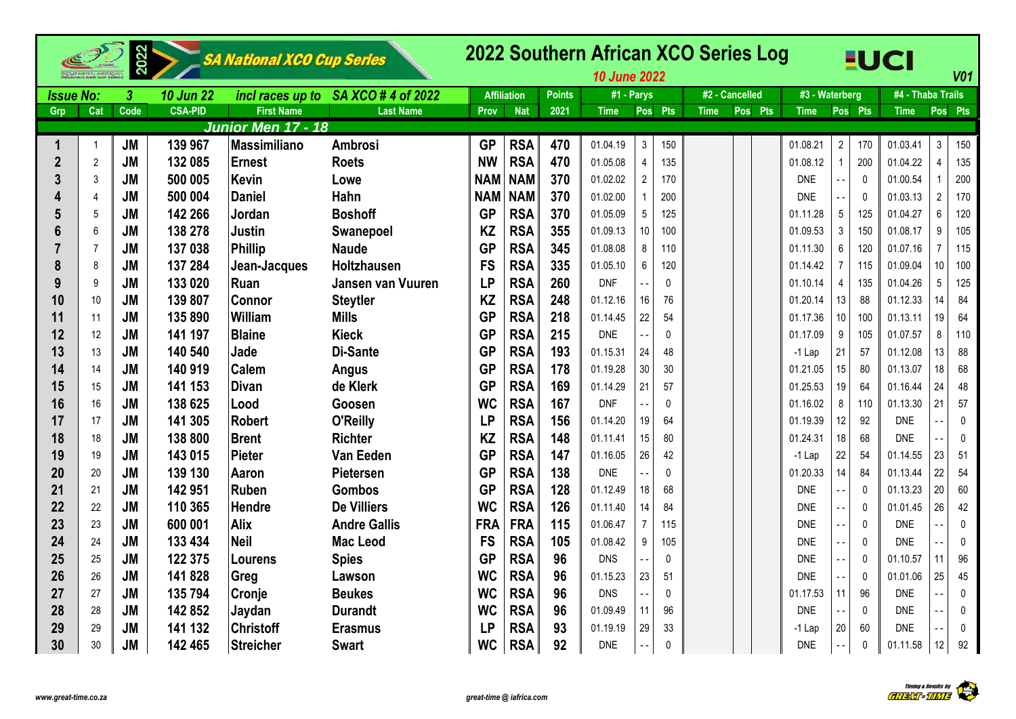|                  |                | 2022      |                  | SA National XCO Cup Series |                                    |            |                    |               | 2022 Southern African XCO Series Log<br><b>10 June 2022</b> |                 |              |                |         |                |                          |                | <b>EUCI</b>       |                | V <sub>01</sub> |
|------------------|----------------|-----------|------------------|----------------------------|------------------------------------|------------|--------------------|---------------|-------------------------------------------------------------|-----------------|--------------|----------------|---------|----------------|--------------------------|----------------|-------------------|----------------|-----------------|
| <b>Issue No:</b> |                | 3         | <b>10 Jun 22</b> |                            | incl races up to SA XCO #4 of 2022 |            | <b>Affiliation</b> | <b>Points</b> | #1 - Parys                                                  |                 |              | #2 - Cancelled |         | #3 - Waterberg |                          |                | #4 - Thaba Trails |                |                 |
| Grp              | Cat            | Code      | <b>CSA-PID</b>   | <b>First Name</b>          | <b>Last Name</b>                   | Prov       | <b>Nat</b>         | 2021          | <b>Time</b>                                                 |                 | Pos Pts      | <b>Time</b>    | Pos Pts | <b>Time</b>    |                          | Pos Pts        | <b>Time</b>       |                | Pos Pts         |
|                  |                |           |                  | <u> Junior Men 17 - 18</u> |                                    |            |                    |               |                                                             |                 |              |                |         |                |                          |                |                   |                |                 |
| 1                |                | <b>JM</b> | 139 967          | <b>Massimiliano</b>        | <b>Ambrosi</b>                     | <b>GP</b>  | <b>RSA</b>         | 470           | 01.04.19                                                    | $\mathbf{3}$    | 150          |                |         | 01.08.21       | $\overline{2}$           | 170            | 01.03.41          | $\mathbf{3}$   | 150             |
| $\overline{2}$   | $\overline{2}$ | <b>JM</b> | 132 085          | <b>Ernest</b>              | <b>Roets</b>                       | <b>NW</b>  | <b>RSA</b>         | 470           | 01.05.08                                                    | $\overline{4}$  | 135          |                |         | 01.08.12       |                          | 200            | 01.04.22          | $\overline{4}$ | 135             |
| 3                | 3              | <b>JM</b> | 500 005          | <b>Kevin</b>               | Lowe                               | <b>NAM</b> | <b>NAM</b>         | 370           | 01.02.02                                                    | $\overline{2}$  | 170          |                |         | <b>DNE</b>     |                          | $\mathbf{0}$   | 01.00.54          |                | 200             |
|                  | $\overline{4}$ | <b>JM</b> | 500 004          | <b>Daniel</b>              | Hahn                               | <b>NAM</b> | <b>NAM</b>         | 370           | 01.02.00                                                    | $\mathbf{1}$    | 200          |                |         | <b>DNE</b>     |                          | $\Omega$       | 01.03.13          | $\overline{2}$ | 170             |
| 5                | 5              | <b>JM</b> | 142 266          | Jordan                     | <b>Boshoff</b>                     | <b>GP</b>  | <b>RSA</b>         | 370           | 01.05.09                                                    | $5\phantom{.0}$ | 125          |                |         | 01.11.28       | 5                        | 125            | 01.04.27          | 6              | 120             |
|                  | 6              | <b>JM</b> | 138 278          | <b>Justin</b>              | Swanepoel                          | <b>KZ</b>  | <b>RSA</b>         | 355           | 01.09.13                                                    | 10 <sup>1</sup> | 100          |                |         | 01.09.53       | 3                        | 150            | 01.08.17          | 9              | 105             |
|                  | $\overline{7}$ | <b>JM</b> | 137 038          | <b>Phillip</b>             | <b>Naude</b>                       | <b>GP</b>  | <b>RSA</b>         | 345           | 01.08.08                                                    | 8               | 110          |                |         | 01.11.30       | 6                        | 120            | 01.07.16          | $\overline{7}$ | 115             |
| 8                | 8              | <b>JM</b> | 137 284          | Jean-Jacques               | Holtzhausen                        | <b>FS</b>  | <b>RSA</b>         | 335           | 01.05.10                                                    | $6\phantom{.}$  | 120          |                |         | 01.14.42       | $\overline{7}$           | 115            | 01.09.04          | 10             | 100             |
| 9                | 9              | <b>JM</b> | 133 020          | Ruan                       | Jansen van Vuuren                  | <b>LP</b>  | <b>RSA</b>         | 260           | <b>DNF</b>                                                  |                 | $\mathbf{0}$ |                |         | 01.10.14       | $\overline{4}$           | 135            | 01.04.26          | $\overline{5}$ | 125             |
| 10               | 10             | <b>JM</b> | 139 807          | <b>Connor</b>              | <b>Steytler</b>                    | <b>KZ</b>  | <b>RSA</b>         | 248           | 01.12.16                                                    | 16              | 76           |                |         | 01.20.14       | 13                       | 88             | 01.12.33          | 14             | 84              |
| 11               | 11             | <b>JM</b> | 135 890          | William                    | <b>Mills</b>                       | <b>GP</b>  | <b>RSA</b>         | 218           | 01.14.45                                                    | 22              | 54           |                |         | 01.17.36       | 10 <sup>°</sup>          | 100            | 01.13.11          | 19             | 64              |
| 12               | 12             | <b>JM</b> | 141 197          | <b>Blaine</b>              | <b>Kieck</b>                       | <b>GP</b>  | <b>RSA</b>         | 215           | <b>DNE</b>                                                  |                 | $\pmb{0}$    |                |         | 01.17.09       | 9                        | 105            | 01.07.57          | 8              | 110             |
| 13               | 13             | <b>JM</b> | 140 540          | Jade                       | Di-Sante                           | <b>GP</b>  | <b>RSA</b>         | 193           | 01.15.31                                                    | 24              | 48           |                |         | $-1$ Lap       | 21                       | 57             | 01.12.08          | 13             | 88              |
| 14               | 14             | <b>JM</b> | 140 919          | <b>Calem</b>               | Angus                              | <b>GP</b>  | <b>RSA</b>         | 178           | 01.19.28                                                    | 30              | 30           |                |         | 01.21.05       | 15                       | 80             | 01.13.07          | 18             | 68              |
| 15               | 15             | <b>JM</b> | 141 153          | <b>Divan</b>               | de Klerk                           | <b>GP</b>  | <b>RSA</b>         | 169           | 01.14.29                                                    | 21              | 57           |                |         | 01.25.53       | 19                       | 64             | 01.16.44          | 24             | 48              |
| 16               | 16             | <b>JM</b> | 138 625          | Lood                       | Goosen                             | <b>WC</b>  | <b>RSA</b>         | 167           | <b>DNF</b>                                                  |                 | $\Omega$     |                |         | 01.16.02       | 8                        | 110            | 01.13.30          | 21             | 57              |
| 17               | 17             | <b>JM</b> | 141 305          | <b>Robert</b>              | O'Reilly                           | <b>LP</b>  | <b>RSA</b>         | 156           | 01.14.20                                                    | 19              | 64           |                |         | 01.19.39       | 12                       | 92             | <b>DNE</b>        | $\overline{a}$ | 0               |
| 18               | 18             | <b>JM</b> | 138 800          | <b>Brent</b>               | <b>Richter</b>                     | <b>KZ</b>  | <b>RSA</b>         | 148           | 01.11.41                                                    | 15              | 80           |                |         | 01.24.31       | 18                       | 68             | <b>DNF</b>        |                | $\pmb{0}$       |
| 19               | 19             | <b>JM</b> | 143 015          | Pieter                     | Van Eeden                          | <b>GP</b>  | <b>RSA</b>         | 147           | 01.16.05                                                    | 26              | 42           |                |         | $-1$ Lap       | 22                       | 54             | 01.14.55          | 23             | 51              |
| 20               | 20             | <b>JM</b> | 139 130          | Aaron                      | Pietersen                          | <b>GP</b>  | <b>RSA</b>         | 138           | <b>DNE</b>                                                  |                 | $\mathbf{0}$ |                |         | 01.20.33       | 14                       | 84             | 01.13.44          | 22             | 54              |
| 21               | 21             | <b>JM</b> | 142 951          | <b>Ruben</b>               | <b>Gombos</b>                      | <b>GP</b>  | <b>RSA</b>         | 128           | 01.12.49                                                    | 18              | 68           |                |         | <b>DNE</b>     |                          | $\mathbf{0}$   | 01.13.23          | 20             | 60              |
| 22               | 22             | <b>JM</b> | 110 365          | Hendre                     | <b>De Villiers</b>                 | <b>WC</b>  | <b>RSA</b>         | 126           | 01.11.40                                                    | 14              | 84           |                |         | <b>DNE</b>     | . .                      | $\Omega$       | 01.01.45          | 26             | 42              |
| 23               | 23             | <b>JM</b> | 600 001          | <b>Alix</b>                | <b>Andre Gallis</b>                | <b>FRA</b> | <b>FRA</b>         | 115           | 01.06.47                                                    | $\overline{7}$  | 115          |                |         | <b>DNE</b>     | $\overline{\phantom{0}}$ | $\mathbf 0$    | <b>DNE</b>        | ۵.             | $\pmb{0}$       |
| 24               | 24             | <b>JM</b> | 133 434          | <b>Neil</b>                | <b>Mac Leod</b>                    | <b>FS</b>  | <b>RSA</b>         | 105           | 01.08.42                                                    | 9               | 105          |                |         | <b>DNE</b>     |                          | $\mathbf 0$    | <b>DNE</b>        | Ξ.             | $\mathbf 0$     |
| 25               | 25             | <b>JM</b> | 122 375          | Lourens                    | <b>Spies</b>                       | <b>GP</b>  | <b>RSA</b>         | 96            | <b>DNS</b>                                                  |                 | $\mathbf{0}$ |                |         | <b>DNE</b>     |                          | $\mathbf{0}$   | 01.10.57          | 11             | 96              |
| 26               | 26             | <b>JM</b> | 141 828          | Greg                       | Lawson                             | <b>WC</b>  | <b>RSA</b>         | 96            | 01.15.23                                                    | 23              | 51           |                |         | <b>DNE</b>     |                          | $\overline{0}$ | 01.01.06          | 25             | 45              |
| 27               | 27             | <b>JM</b> | 135 794          | Cronje                     | <b>Beukes</b>                      | <b>WC</b>  | <b>RSA</b>         | 96            | <b>DNS</b>                                                  | $\overline{a}$  | $\Omega$     |                |         | 01.17.53       | 11                       | 96             | <b>DNE</b>        | $\ddotsc$      | $\pmb{0}$       |
| 28               | 28             | <b>JM</b> | 142 852          | Jaydan                     | <b>Durandt</b>                     | <b>WC</b>  | <b>RSA</b>         | 96            | 01.09.49                                                    | 11              | 96           |                |         | <b>DNE</b>     |                          | $\mathbf 0$    | <b>DNE</b>        | $\ddotsc$      | 0               |
| 29               | 29             | <b>JM</b> | 141 132          | <b>Christoff</b>           | <b>Erasmus</b>                     | <b>LP</b>  | <b>RSA</b>         | 93            | 01.19.19                                                    | 29              | 33           |                |         | $-1$ Lap       | 20                       | 60             | <b>DNE</b>        | ۵.             | $\mathbf 0$     |
| 30               | 30             | <b>JM</b> | 142 465          | <b>Streicher</b>           | <b>Swart</b>                       | <b>WC</b>  | <b>RSA</b>         | 92            | <b>DNE</b>                                                  |                 | $\mathbf 0$  |                |         | <b>DNE</b>     |                          | $\mathbf{0}$   | 01.11.58          | 12             | 92              |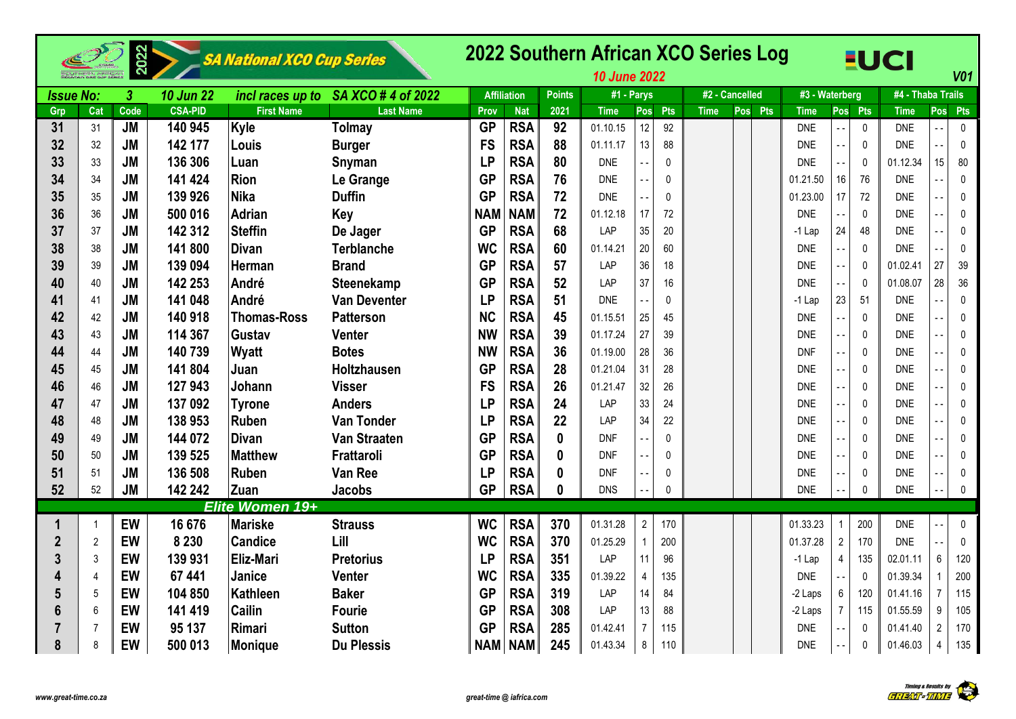|                  |                | 2022           |                  | SA National XCO Cup Series |                                     |            |                    |               | 2022 Southern African XCO Series Log<br><b>10 June 2022</b> |                |              |                |         |                |                |              | <b>EUCI</b>       |                          | <b>V01</b>   |
|------------------|----------------|----------------|------------------|----------------------------|-------------------------------------|------------|--------------------|---------------|-------------------------------------------------------------|----------------|--------------|----------------|---------|----------------|----------------|--------------|-------------------|--------------------------|--------------|
| <b>Issue No:</b> |                | $\overline{3}$ | <b>10 Jun 22</b> |                            | incl races up to SA XCO # 4 of 2022 |            | <b>Affiliation</b> | <b>Points</b> | #1 - Parys                                                  |                |              | #2 - Cancelled |         | #3 - Waterberg |                |              | #4 - Thaba Trails |                          |              |
| Grp              | Cat            | Code           | <b>CSA-PID</b>   | <b>First Name</b>          | <b>Last Name</b>                    | Prov       | <b>Nat</b>         | 2021          | <b>Time</b>                                                 | Pos            | Pts          | <b>Time</b>    | Pos Pts | <b>Time</b>    |                | Pos Pts      | <b>Time</b>       |                          | Pos Pts      |
| 31               | 31             | <b>JM</b>      | 140 945          | Kyle                       | Tolmay                              | <b>GP</b>  | <b>RSA</b>         | 92            | 01.10.15                                                    | 12             | 92           |                |         | <b>DNE</b>     |                | $\mathbf{0}$ | <b>DNE</b>        | ۵.                       | 0            |
| 32               | 32             | <b>JM</b>      | 142 177          | Louis                      | <b>Burger</b>                       | <b>FS</b>  | <b>RSA</b>         | 88            | 01.11.17                                                    | 13             | 88           |                |         | <b>DNE</b>     |                | $\mathbf{0}$ | <b>DNE</b>        | $\ddot{\phantom{1}}$     | $\mathbf 0$  |
| 33               | 33             | <b>JM</b>      | 136 306          | Luan                       | Snyman                              | <b>LP</b>  | <b>RSA</b>         | 80            | <b>DNE</b>                                                  |                | $\Omega$     |                |         | <b>DNE</b>     |                | $\Omega$     | 01.12.34          | 15                       | 80           |
| 34               | 34             | <b>JM</b>      | 141 424          | <b>Rion</b>                | Le Grange                           | <b>GP</b>  | <b>RSA</b>         | 76            | <b>DNE</b>                                                  |                | $\Omega$     |                |         | 01.21.50       | 16             | 76           | <b>DNE</b>        | $\ddotsc$                | 0            |
| 35               | 35             | <b>JM</b>      | 139 926          | <b>Nika</b>                | <b>Duffin</b>                       | <b>GP</b>  | <b>RSA</b>         | 72            | <b>DNE</b>                                                  |                | $\mathbf{0}$ |                |         | 01.23.00       | 17             | 72           | <b>DNE</b>        |                          | $\mathbf 0$  |
| 36               | 36             | <b>JM</b>      | 500 016          | <b>Adrian</b>              | <b>Key</b>                          | <b>NAM</b> | <b>NAM</b>         | 72            | 01.12.18                                                    | 17             | 72           |                |         | <b>DNE</b>     |                | $\mathbf 0$  | <b>DNE</b>        | ۵.                       | $\mathbf 0$  |
| 37               | 37             | <b>JM</b>      | 142 312          | <b>Steffin</b>             | De Jager                            | <b>GP</b>  | <b>RSA</b>         | 68            | LAP                                                         | 35             | 20           |                |         | $-1$ Lap       | 24             | 48           | <b>DNE</b>        | $\sim$ $\sim$            | 0            |
| 38               | 38             | <b>JM</b>      | 141 800          | <b>Divan</b>               | <b>Terblanche</b>                   | <b>WC</b>  | <b>RSA</b>         | 60            | 01.14.21                                                    | 20             | 60           |                |         | <b>DNE</b>     |                | $\pmb{0}$    | <b>DNE</b>        | $\overline{\phantom{a}}$ | $\pmb{0}$    |
| 39               | 39             | <b>JM</b>      | 139 094          | Herman                     | <b>Brand</b>                        | <b>GP</b>  | <b>RSA</b>         | 57            | LAP                                                         | 36             | 18           |                |         | <b>DNE</b>     | $\overline{a}$ | 0            | 01.02.41          | 27                       | 39           |
| 40               | 40             | <b>JM</b>      | 142 253          | André                      | Steenekamp                          | <b>GP</b>  | <b>RSA</b>         | 52            | LAP                                                         | 37             | 16           |                |         | <b>DNE</b>     |                | 0            | 01.08.07          | 28                       | 36           |
| 41               | 41             | <b>JM</b>      | 141 048          | André                      | <b>Van Deventer</b>                 | <b>LP</b>  | <b>RSA</b>         | 51            | <b>DNE</b>                                                  |                | $\mathbf 0$  |                |         | -1 Lap         | 23             | 51           | <b>DNE</b>        | $\overline{a}$           | $\pmb{0}$    |
| 42               | 42             | <b>JM</b>      | 140 918          | <b>Thomas-Ross</b>         | <b>Patterson</b>                    | <b>NC</b>  | <b>RSA</b>         | 45            | 01.15.51                                                    | 25             | 45           |                |         | <b>DNE</b>     |                | $\mathbf 0$  | <b>DNE</b>        | ۵.                       | 0            |
| 43               | 43             | <b>JM</b>      | 114 367          | Gustav                     | Venter                              | <b>NW</b>  | <b>RSA</b>         | 39            | 01.17.24                                                    | 27             | 39           |                |         | <b>DNE</b>     |                | 0            | <b>DNE</b>        | Ξ.                       | $\mathbf 0$  |
| 44               | 44             | <b>JM</b>      | 140 739          | Wyatt                      | <b>Botes</b>                        | <b>NW</b>  | <b>RSA</b>         | 36            | 01.19.00                                                    | 28             | 36           |                |         | <b>DNF</b>     |                | 0            | <b>DNE</b>        | Ξ.                       | $\mathbf{0}$ |
| 45               | 45             | <b>JM</b>      | 141 804          | Juan                       | Holtzhausen                         | <b>GP</b>  | <b>RSA</b>         | 28            | 01.21.04                                                    | 31             | 28           |                |         | <b>DNE</b>     |                | $\mathbf 0$  | <b>DNE</b>        | $\ddotsc$                | $\mathbf 0$  |
| 46               | 46             | <b>JM</b>      | 127 943          | Johann                     | <b>Visser</b>                       | <b>FS</b>  | <b>RSA</b>         | 26            | 01.21.47                                                    | 32             | 26           |                |         | <b>DNE</b>     |                | $\mathbf 0$  | <b>DNE</b>        | ۵.                       | $\mathbf 0$  |
| 47               | 47             | <b>JM</b>      | 137 092          | <b>Tyrone</b>              | <b>Anders</b>                       | <b>LP</b>  | <b>RSA</b>         | 24            | LAP                                                         | 33             | 24           |                |         | <b>DNE</b>     |                | $\mathbf 0$  | <b>DNE</b>        | ۵.                       | 0            |
| 48               | 48             | <b>JM</b>      | 138 953          | <b>Ruben</b>               | <b>Van Tonder</b>                   | <b>LP</b>  | <b>RSA</b>         | 22            | LAP                                                         | 34             | 22           |                |         | <b>DNE</b>     |                | $\mathbf 0$  | <b>DNE</b>        | $\sim$                   | $\pmb{0}$    |
| 49               | 49             | <b>JM</b>      | 144 072          | <b>Divan</b>               | Van Straaten                        | <b>GP</b>  | <b>RSA</b>         | $\mathbf{0}$  | <b>DNF</b>                                                  | $\sim$ $\sim$  | $\Omega$     |                |         | <b>DNE</b>     |                | $\mathbf 0$  | <b>DNE</b>        | $\overline{a}$           | $\pmb{0}$    |
| 50               | 50             | <b>JM</b>      | 139 525          | <b>Matthew</b>             | Frattaroli                          | <b>GP</b>  | <b>RSA</b>         | $\bf{0}$      | <b>DNF</b>                                                  | $\sim$ $\sim$  | $\Omega$     |                |         | <b>DNE</b>     |                | $\mathbf 0$  | <b>DNE</b>        | ۵.                       | $\pmb{0}$    |
| 51               | 51             | <b>JM</b>      | 136 508          | <b>Ruben</b>               | <b>Van Ree</b>                      | <b>LP</b>  | <b>RSA</b>         | $\mathbf{0}$  | <b>DNF</b>                                                  |                | $\Omega$     |                |         | <b>DNE</b>     |                | 0            | <b>DNE</b>        | $\sim$ $\sim$            | 0            |
| 52               | 52             | <b>JM</b>      | 142 242          | Zuan                       | Jacobs                              | <b>GP</b>  | <b>RSA</b>         | 0             | <b>DNS</b>                                                  |                | $\mathbf 0$  |                |         | <b>DNE</b>     |                | $\mathbf{0}$ | <b>DNE</b>        | $\overline{a}$           | 0            |
|                  |                |                |                  | Elite Women 19+            |                                     |            |                    |               |                                                             |                |              |                |         |                |                |              |                   |                          |              |
|                  |                | EW             | 16 676           | <b>Mariske</b>             | <b>Strauss</b>                      | <b>WC</b>  | <b>RSA</b>         | 370           | 01.31.28                                                    | $\overline{2}$ | 170          |                |         | 01.33.23       |                | 200          | <b>DNE</b>        |                          | $\mathbf 0$  |
| $\overline{2}$   | $\overline{2}$ | EW             | 8 2 3 0          | <b>Candice</b>             | Lill                                | <b>WC</b>  | <b>RSA</b>         | 370           | 01.25.29                                                    | $\mathbf{1}$   | 200          |                |         | 01.37.28       | $\overline{2}$ | 170          | <b>DNE</b>        | $\overline{\phantom{a}}$ | 0            |
| 3                | 3              | EW             | 139 931          | <b>Eliz-Mari</b>           | <b>Pretorius</b>                    | <b>LP</b>  | <b>RSA</b>         | 351           | LAP                                                         | 11             | 96           |                |         | $-1$ Lap       | 4              | 135          | 02.01.11          | $6\phantom{a}$           | 120          |
|                  | $\overline{4}$ | EW             | 67 441           | Janice                     | Venter                              | <b>WC</b>  | <b>RSA</b>         | 335           | 01.39.22                                                    | $\overline{4}$ | 135          |                |         | <b>DNE</b>     |                | $\mathbf{0}$ | 01.39.34          | $\overline{1}$           | 200          |
|                  | 5              | EW             | 104 850          | Kathleen                   | <b>Baker</b>                        | <b>GP</b>  | <b>RSA</b>         | 319           | LAP                                                         | 14             | 84           |                |         | -2 Laps        | 6              | 120          | 01.41.16          | $\overline{7}$           | 115          |
|                  | 6              | EW             | 141 419          | <b>Cailin</b>              | <b>Fourie</b>                       | <b>GP</b>  | <b>RSA</b>         | 308           | LAP                                                         | 13             | 88           |                |         | -2 Laps        | $\overline{7}$ | 115          | 01.55.59          | 9                        | 105          |
| 7                | $\overline{7}$ | EW             | 95 137           | Rimari                     | <b>Sutton</b>                       | <b>GP</b>  | <b>RSA</b>         | 285           | 01.42.41                                                    | $\overline{7}$ | 115          |                |         | <b>DNE</b>     |                | $\Omega$     | 01.41.40          | $\overline{2}$           | 170          |
| 8                | 8              | EW             | 500 013          | Monique                    | <b>Du Plessis</b>                   | <b>NAM</b> | <b>NAM</b>         | 245           | 01.43.34                                                    | 8              | 110          |                |         | <b>DNE</b>     |                | $\Omega$     | 01.46.03          | $\overline{4}$           | 135          |

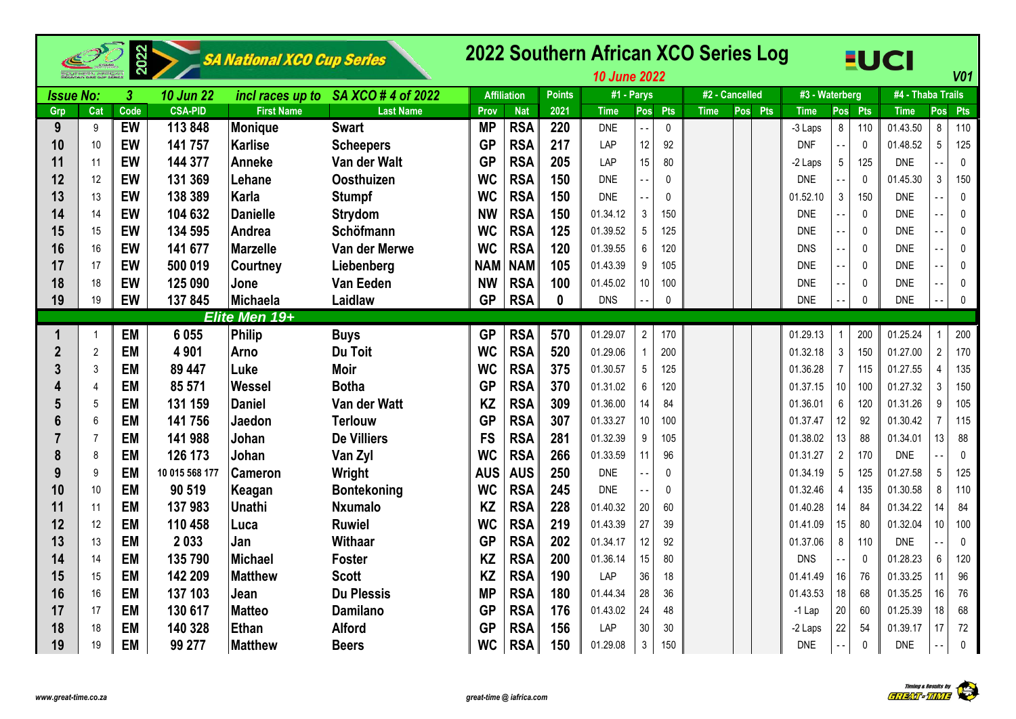|                  |                |                      |                  | SA National XCO Cup Series |                    |            |                    |               | 2022 Southern African XCO Series Log<br><b>10 June 2022</b> |                 |              |                |         |                |                |              | <b>EUCI</b>       |                | V <sub>01</sub> |
|------------------|----------------|----------------------|------------------|----------------------------|--------------------|------------|--------------------|---------------|-------------------------------------------------------------|-----------------|--------------|----------------|---------|----------------|----------------|--------------|-------------------|----------------|-----------------|
| <b>Issue No:</b> |                | $\boldsymbol{\beta}$ | <b>10 Jun 22</b> | incl races up to           | SA XCO # 4 of 2022 |            | <b>Affiliation</b> | <b>Points</b> | #1 - Parys                                                  |                 |              | #2 - Cancelled |         | #3 - Waterberg |                |              | #4 - Thaba Trails |                |                 |
| Grp              | Cat            | Code                 | <b>CSA-PID</b>   | <b>First Name</b>          | <b>Last Name</b>   | Prov       | <b>Nat</b>         | 2021          | <b>Time</b>                                                 | Pos             | Pts          | <b>Time</b>    | Pos Pts | <b>Time</b>    |                | Pos Pts      | <b>Time</b>       | Pos            | Pts             |
| 9                | 9              | EW                   | 113848           | Monique                    | <b>Swart</b>       | <b>MP</b>  | <b>RSA</b>         | 220           | <b>DNE</b>                                                  |                 | $\mathbf{0}$ |                |         | -3 Laps        | 8              | 110          | 01.43.50          | 8              | 110             |
| 10               | 10             | EW                   | 141 757          | Karlise                    | <b>Scheepers</b>   | <b>GP</b>  | <b>RSA</b>         | 217           | LAP                                                         | 12              | 92           |                |         | <b>DNF</b>     |                | $\mathbf{0}$ | 01.48.52          | 5              | 125             |
| 11               | 11             | EW                   | 144 377          | <b>Anneke</b>              | Van der Walt       | <b>GP</b>  | <b>RSA</b>         | 205           | LAP                                                         | 15              | 80           |                |         | -2 Laps        | 5              | 125          | <b>DNE</b>        |                | $\mathbf 0$     |
| 12               | 12             | EW                   | 131 369          | Lehane                     | <b>Oosthuizen</b>  | <b>WC</b>  | <b>RSA</b>         | 150           | <b>DNE</b>                                                  |                 | 0            |                |         | <b>DNE</b>     |                | $\pmb{0}$    | 01.45.30          | 3              | 150             |
| 13               | 13             | EW                   | 138 389          | Karla                      | <b>Stumpf</b>      | <b>WC</b>  | <b>RSA</b>         | 150           | <b>DNE</b>                                                  |                 | $\mathbf{0}$ |                |         | 01.52.10       | $\sqrt{3}$     | 150          | <b>DNE</b>        |                | $\mathbf 0$     |
| 14               | 14             | EW                   | 104 632          | <b>Danielle</b>            | <b>Strydom</b>     | <b>NW</b>  | <b>RSA</b>         | 150           | 01.34.12                                                    | 3               | 150          |                |         | <b>DNE</b>     |                | $\pmb{0}$    | <b>DNE</b>        |                | $\mathbf{0}$    |
| 15               | 15             | EW                   | 134 595          | Andrea                     | <b>Schöfmann</b>   | <b>WC</b>  | <b>RSA</b>         | 125           | 01.39.52                                                    | $5\phantom{.0}$ | 125          |                |         | <b>DNE</b>     |                | $\mathbf 0$  | <b>DNE</b>        |                | $\mathbf{0}$    |
| 16               | 16             | EW                   | 141 677          | <b>Marzelle</b>            | Van der Merwe      | <b>WC</b>  | <b>RSA</b>         | 120           | 01.39.55                                                    | 6               | 120          |                |         | <b>DNS</b>     |                | $\mathbf 0$  | <b>DNE</b>        |                | $\mathbf{0}$    |
| 17               | 17             | EW                   | 500 019          | <b>Courtney</b>            | Liebenberg         | <b>NAM</b> | <b>NAM</b>         | 105           | 01.43.39                                                    | 9               | 105          |                |         | <b>DNE</b>     |                | $\pmb{0}$    | <b>DNE</b>        |                | 0               |
| 18               | 18             | EW                   | 125 090          | Jone                       | <b>Van Eeden</b>   | <b>NW</b>  | <b>RSA</b>         | 100           | 01.45.02                                                    | 10 <sup>1</sup> | 100          |                |         | <b>DNE</b>     |                | $\pmb{0}$    | <b>DNE</b>        |                | 0               |
| 19               | 19             | EW                   | 137845           | Michaela                   | Laidlaw            | <b>GP</b>  | <b>RSA</b>         | $\mathbf{0}$  | <b>DNS</b>                                                  |                 | $\mathbf 0$  |                |         | <b>DNE</b>     |                | $\mathbf{0}$ | <b>DNE</b>        | - -            | $\mathbf{0}$    |
|                  |                |                      |                  | Elite Men 19+              |                    |            |                    |               |                                                             |                 |              |                |         |                |                |              |                   |                |                 |
| 1                | $\overline{1}$ | <b>EM</b>            | 6 0 5 5          | Philip                     | <b>Buys</b>        | <b>GP</b>  | <b>RSA</b>         | 570           | 01.29.07                                                    | $\overline{2}$  | 170          |                |         | 01.29.13       |                | 200          | 01.25.24          |                | 200             |
| $\mathbf{2}$     | $\overline{2}$ | <b>EM</b>            | 4 9 0 1          | Arno                       | Du Toit            | <b>WC</b>  | <b>RSA</b>         | 520           | 01.29.06                                                    | $\mathbf{1}$    | 200          |                |         | 01.32.18       | 3              | 150          | 01.27.00          | $\overline{2}$ | 170             |
|                  | 3              | <b>EM</b>            | 89 447           | Luke                       | <b>Moir</b>        | <b>WC</b>  | <b>RSA</b>         | 375           | 01.30.57                                                    | $\overline{5}$  | 125          |                |         | 01.36.28       | $\overline{7}$ | 115          | 01.27.55          | $\overline{4}$ | 135             |
|                  | $\overline{4}$ | <b>EM</b>            | 85 571           | Wessel                     | <b>Botha</b>       | <b>GP</b>  | <b>RSA</b>         | 370           | 01.31.02                                                    | 6               | 120          |                |         | 01.37.15       | 10             | 100          | 01.27.32          | 3              | 150             |
| 5                | 5              | <b>EM</b>            | 131 159          | Daniel                     | Van der Watt       | <b>KZ</b>  | <b>RSA</b>         | 309           | 01.36.00                                                    | 14              | 84           |                |         | 01.36.01       | 6              | 120          | 01.31.26          | 9              | 105             |
|                  | 6              | <b>EM</b>            | 141 756          | Jaedon                     | <b>Terlouw</b>     | <b>GP</b>  | <b>RSA</b>         | 307           | 01.33.27                                                    | 10              | 100          |                |         | 01.37.47       | 12             | 92           | 01.30.42          | 7              | 115             |
|                  | $\overline{7}$ | <b>EM</b>            | 141 988          | Johan                      | <b>De Villiers</b> | <b>FS</b>  | <b>RSA</b>         | 281           | 01.32.39                                                    | 9               | 105          |                |         | 01.38.02       | 13             | 88           | 01.34.01          | 13             | 88              |
| 8                | 8              | <b>EM</b>            | 126 173          | Johan                      | Van Zyl            | <b>WC</b>  | <b>RSA</b>         | 266           | 01.33.59                                                    | 11              | 96           |                |         | 01.31.27       | $\overline{2}$ | 170          | <b>DNE</b>        |                | $\mathbf 0$     |
| 9                | 9              | <b>EM</b>            | 10 015 568 177   | <b>Cameron</b>             | Wright             | <b>AUS</b> | <b>AUS</b>         | 250           | <b>DNE</b>                                                  |                 | $\mathbf{0}$ |                |         | 01.34.19       | 5              | 125          | 01.27.58          | 5              | 125             |
| 10               | 10             | <b>EM</b>            | 90 519           | Keagan                     | <b>Bontekoning</b> | <b>WC</b>  | <b>RSA</b>         | 245           | <b>DNE</b>                                                  |                 | 0            |                |         | 01.32.46       | 4              | 135          | 01.30.58          | 8              | 110             |
| 11               | 11             | <b>EM</b>            | 137983           | Unathi                     | <b>Nxumalo</b>     | <b>KZ</b>  | <b>RSA</b>         | 228           | 01.40.32                                                    | 20              | 60           |                |         | 01.40.28       | 14             | 84           | 01.34.22          | 14             | 84              |
| 12               | 12             | <b>EM</b>            | 110 458          | <b>Luca</b>                | <b>Ruwiel</b>      | <b>WC</b>  | <b>RSA</b>         | 219           | 01.43.39                                                    | 27              | 39           |                |         | 01.41.09       | 15             | 80           | 01.32.04          | 10             | 100             |
| 13               | 13             | <b>EM</b>            | 2033             | Jan                        | Withaar            | <b>GP</b>  | <b>RSA</b>         | 202           | 01.34.17                                                    | 12              | 92           |                |         | 01.37.06       | 8              | 110          | <b>DNE</b>        |                | $\mathbf 0$     |
| 14               | 14             | <b>EM</b>            | 135 790          | Michael                    | <b>Foster</b>      | <b>KZ</b>  | <b>RSA</b>         | 200           | 01.36.14                                                    | 15              | 80           |                |         | <b>DNS</b>     |                | $\mathbf{0}$ | 01.28.23          | 6              | 120             |
| 15               | 15             | <b>EM</b>            | 142 209          | Matthew                    | <b>Scott</b>       | <b>KZ</b>  | <b>RSA</b>         | 190           | LAP                                                         | 36              | 18           |                |         | 01.41.49       | 16             | 76           | 01.33.25          | 11             | 96              |
| 16               | 16             | <b>EM</b>            | 137 103          | Jean                       | <b>Du Plessis</b>  | <b>MP</b>  | <b>RSA</b>         | 180           | 01.44.34                                                    | 28              | 36           |                |         | 01.43.53       | 18             | 68           | 01.35.25          | 16             | 76              |
| 17               | 17             | <b>EM</b>            | 130 617          | <b>Matteo</b>              | <b>Damilano</b>    | <b>GP</b>  | <b>RSA</b>         | 176           | 01.43.02                                                    | 24              | 48           |                |         | $-1$ Lap       | 20             | 60           | 01.25.39          | 18             | 68              |
| 18               | 18             | <b>EM</b>            | 140 328          | Ethan                      | <b>Alford</b>      | <b>GP</b>  | <b>RSA</b>         | 156           | LAP                                                         | 30              | 30           |                |         | -2 Laps        | 22             | 54           | 01.39.17          | 17             | 72              |
| 19               | 19             | <b>EM</b>            | 99 277           | <b>Matthew</b>             | <b>Beers</b>       | <b>WC</b>  | <b>RSA</b>         | 150           | 01.29.08                                                    | $\mathbf{3}$    | 150          |                |         | <b>DNE</b>     |                | $\pmb{0}$    | <b>DNE</b>        |                | 0               |

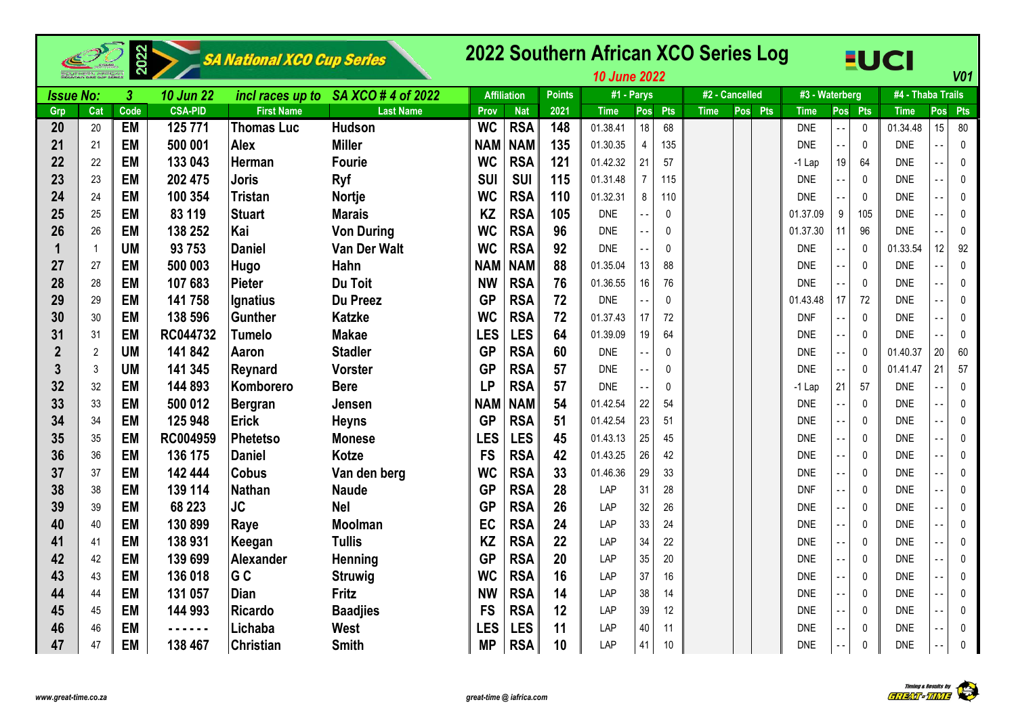|                  |                |                |                  | SA National XCO Cup Series |                    |            |                    |               | 2022 Southern African XCO Series Log<br><b>10 June 2022</b> |                |              |             |                |                |                          |              | <b>EUCI</b>       |                            | V <sub>01</sub> |
|------------------|----------------|----------------|------------------|----------------------------|--------------------|------------|--------------------|---------------|-------------------------------------------------------------|----------------|--------------|-------------|----------------|----------------|--------------------------|--------------|-------------------|----------------------------|-----------------|
| <b>Issue No:</b> |                | $\overline{3}$ | <b>10 Jun 22</b> | incl races up to           | SA XCO # 4 of 2022 |            | <b>Affiliation</b> | <b>Points</b> | #1 - Parys                                                  |                |              |             | #2 - Cancelled | #3 - Waterberg |                          |              | #4 - Thaba Trails |                            |                 |
| Grp              | Cat            | Code           | <b>CSA-PID</b>   | <b>First Name</b>          | <b>Last Name</b>   | Prov       | <b>Nat</b>         | 2021          | <b>Time</b>                                                 | Pos            | Pts          | <b>Time</b> | Pos Pts        | <b>Time</b>    |                          | Pos Pts      | <b>Time</b>       | Posl                       | Pts             |
| 20               | 20             | <b>EM</b>      | 125 771          | <b>Thomas Luc</b>          | <b>Hudson</b>      | <b>WC</b>  | <b>RSA</b>         | 148           | 01.38.41                                                    | 18             | 68           |             |                | <b>DNE</b>     |                          | $\mathbf{0}$ | 01.34.48          | 15                         | 80              |
| 21               | 21             | <b>EM</b>      | 500 001          | <b>Alex</b>                | <b>Miller</b>      | <b>NAM</b> | <b>NAM</b>         | 135           | 01.30.35                                                    | $\overline{4}$ | 135          |             |                | <b>DNE</b>     |                          | $\mathbf 0$  | <b>DNE</b>        |                            | $\pmb{0}$       |
| 22               | 22             | <b>EM</b>      | 133 043          | Herman                     | <b>Fourie</b>      | <b>WC</b>  | <b>RSA</b>         | 121           | 01.42.32                                                    | 21             | 57           |             |                | -1 Lap         | 19                       | 64           | <b>DNE</b>        |                            | $\mathbf{0}$    |
| 23               | 23             | <b>EM</b>      | 202 475          | <b>Joris</b>               | Ryf                | <b>SUI</b> | <b>SUI</b>         | 115           | 01.31.48                                                    | $\overline{7}$ | 115          |             |                | <b>DNE</b>     | $-$                      | $\mathbf{0}$ | <b>DNE</b>        |                            | 0               |
| 24               | 24             | <b>EM</b>      | 100 354          | Tristan                    | <b>Nortje</b>      | <b>WC</b>  | <b>RSA</b>         | 110           | 01.32.31                                                    | 8              | 110          |             |                | <b>DNE</b>     | $-$                      | $\mathbf 0$  | <b>DNE</b>        | $\overline{a}$             | 0               |
| 25               | 25             | <b>EM</b>      | 83 119           | <b>Stuart</b>              | <b>Marais</b>      | KZ         | <b>RSA</b>         | 105           | <b>DNE</b>                                                  |                | $\pmb{0}$    |             |                | 01.37.09       | 9                        | 105          | <b>DNE</b>        |                            | 0               |
| 26               | 26             | <b>EM</b>      | 138 252          | Kai                        | <b>Von During</b>  | <b>WC</b>  | <b>RSA</b>         | 96            | <b>DNE</b>                                                  |                | $\pmb{0}$    |             |                | 01.37.30       | 11                       | 96           | <b>DNE</b>        |                            | $\mathbf{0}$    |
|                  | $\overline{1}$ | <b>UM</b>      | 93 753           | <b>Daniel</b>              | Van Der Walt       | <b>WC</b>  | <b>RSA</b>         | 92            | <b>DNE</b>                                                  |                | $\mathbf{0}$ |             |                | <b>DNE</b>     |                          | $\mathbf{0}$ | 01.33.54          | 12                         | 92              |
| 27               | 27             | <b>EM</b>      | 500 003          | Hugo                       | Hahn               | <b>NAM</b> | <b>NAM</b>         | 88            | 01.35.04                                                    | 13             | 88           |             |                | <b>DNE</b>     | $\ddotsc$                | $\mathbf{0}$ | <b>DNE</b>        |                            | 0               |
| 28               | 28             | <b>EM</b>      | 107 683          | Pieter                     | Du Toit            | <b>NW</b>  | <b>RSA</b>         | 76            | 01.36.55                                                    | 16             | 76           |             |                | <b>DNE</b>     | $\overline{\phantom{a}}$ | $\mathbf 0$  | <b>DNE</b>        |                            | 0               |
| 29               | 29             | <b>EM</b>      | 141 758          | Ignatius                   | <b>Du Preez</b>    | <b>GP</b>  | <b>RSA</b>         | 72            | <b>DNE</b>                                                  |                | 0            |             |                | 01.43.48       | 17                       | 72           | <b>DNE</b>        |                            | 0               |
| 30               | 30             | <b>EM</b>      | 138 596          | Gunther                    | <b>Katzke</b>      | <b>WC</b>  | <b>RSA</b>         | 72            | 01.37.43                                                    | 17             | 72           |             |                | <b>DNF</b>     |                          | $\mathbf 0$  | <b>DNE</b>        |                            | 0               |
| 31               | 31             | <b>EM</b>      | RC044732         | Tumelo                     | <b>Makae</b>       | <b>LES</b> | <b>LES</b>         | 64            | 01.39.09                                                    | 19             | 64           |             |                | <b>DNE</b>     |                          | $\mathbf{0}$ | <b>DNE</b>        |                            | 0               |
| $\overline{2}$   | $\overline{2}$ | <b>UM</b>      | 141 842          | Aaron                      | <b>Stadler</b>     | <b>GP</b>  | <b>RSA</b>         | 60            | <b>DNE</b>                                                  |                | 0            |             |                | <b>DNE</b>     | $ -$                     | $\mathbf{0}$ | 01.40.37          | 20                         | 60              |
| 3                | 3              | <b>UM</b>      | 141 345          | Reynard                    | <b>Vorster</b>     | <b>GP</b>  | <b>RSA</b>         | 57            | <b>DNE</b>                                                  |                | 0            |             |                | <b>DNE</b>     | $\overline{\phantom{a}}$ | $\mathbf{0}$ | 01.41.47          | 21                         | 57              |
| 32               | 32             | <b>EM</b>      | 144 893          | Komborero                  | <b>Bere</b>        | <b>LP</b>  | <b>RSA</b>         | 57            | <b>DNE</b>                                                  |                | $\mathbf 0$  |             |                | $-1$ Lap       | 21                       | 57           | <b>DNE</b>        |                            | $\pmb{0}$       |
| 33               | 33             | <b>EM</b>      | 500 012          | Bergran                    | Jensen             | <b>NAM</b> | <b>NAM</b>         | 54            | 01.42.54                                                    | 22             | 54           |             |                | <b>DNE</b>     |                          | $\mathbf{0}$ | <b>DNE</b>        |                            | 0               |
| 34               | 34             | <b>EM</b>      | 125 948          | <b>Erick</b>               | <b>Heyns</b>       | <b>GP</b>  | <b>RSA</b>         | 51            | 01.42.54                                                    | 23             | 51           |             |                | <b>DNE</b>     |                          | $\mathbf{0}$ | <b>DNE</b>        |                            | 0               |
| 35               | 35             | EM             | RC004959         | Phetetso                   | <b>Monese</b>      | <b>LES</b> | <b>LES</b>         | 45            | 01.43.13                                                    | 25             | 45           |             |                | <b>DNE</b>     | - -                      | $\mathbf{0}$ | <b>DNE</b>        |                            | 0               |
| 36               | 36             | <b>EM</b>      | 136 175          | <b>Daniel</b>              | Kotze              | <b>FS</b>  | <b>RSA</b>         | 42            | 01.43.25                                                    | 26             | 42           |             |                | <b>DNE</b>     | $\overline{\phantom{a}}$ | $\mathbf{0}$ | <b>DNE</b>        |                            | 0               |
| 37               | 37             | <b>EM</b>      | 142 444          | <b>Cobus</b>               | Van den berg       | <b>WC</b>  | <b>RSA</b>         | 33            | 01.46.36                                                    | 29             | 33           |             |                | <b>DNE</b>     | $-$                      | $\mathbf 0$  | <b>DNE</b>        |                            | 0               |
| 38               | 38             | <b>EM</b>      | 139 114          | <b>Nathan</b>              | <b>Naude</b>       | <b>GP</b>  | <b>RSA</b>         | 28            | LAP                                                         | 31             | 28           |             |                | <b>DNF</b>     | $-$                      | $\mathbf 0$  | <b>DNE</b>        |                            | $\pmb{0}$       |
| 39               | 39             | <b>EM</b>      | 68 223           | <b>JC</b>                  | <b>Nel</b>         | <b>GP</b>  | <b>RSA</b>         | 26            | LAP                                                         | 32             | 26           |             |                | <b>DNE</b>     | - -                      | $\mathbf{0}$ | <b>DNE</b>        | $\overline{\phantom{a}}$ . | 0               |
| 40               | 40             | <b>EM</b>      | 130 899          | Raye                       | <b>Moolman</b>     | EC         | <b>RSA</b>         | 24            | LAP                                                         | 33             | 24           |             |                | <b>DNE</b>     | $ -$                     | $\mathbf 0$  | <b>DNE</b>        |                            | $\pmb{0}$       |
| 41               | 41             | <b>EM</b>      | 138 931          | Keegan                     | <b>Tullis</b>      | <b>KZ</b>  | <b>RSA</b>         | 22            | LAP                                                         | 34             | 22           |             |                | <b>DNE</b>     |                          | $\mathbf{0}$ | <b>DNE</b>        |                            | $\pmb{0}$       |
| 42               | 42             | <b>EM</b>      | 139 699          | <b>Alexander</b>           | Henning            | <b>GP</b>  | <b>RSA</b>         | 20            | LAP                                                         | 35             | 20           |             |                | <b>DNE</b>     |                          | $\mathbf 0$  | <b>DNE</b>        |                            | 0               |
| 43               | 43             | <b>EM</b>      | 136 018          | G <sub>C</sub>             | <b>Struwig</b>     | <b>WC</b>  | <b>RSA</b>         | 16            | LAP                                                         | 37             | 16           |             |                | <b>DNE</b>     | $ -$                     | $\mathbf 0$  | <b>DNE</b>        |                            | 0               |
| 44               | 44             | EM             | 131 057          | <b>Dian</b>                | Fritz              | <b>NW</b>  | <b>RSA</b>         | 14            | LAP                                                         | 38             | 14           |             |                | <b>DNE</b>     | $ -$                     | $\mathbf{0}$ | <b>DNE</b>        |                            | $\pmb{0}$       |
| 45               | 45             | <b>EM</b>      | 144 993          | <b>Ricardo</b>             | <b>Baadjies</b>    | <b>FS</b>  | <b>RSA</b>         | 12            | LAP                                                         | 39             | 12           |             |                | <b>DNE</b>     | $-$                      | $\mathbf 0$  | <b>DNE</b>        | $\overline{\phantom{a}}$ . | 0               |
| 46               | 46             | <b>EM</b>      | .                | Lichaba                    | West               | <b>LES</b> | <b>LES</b>         | 11            | LAP                                                         | 40             | 11           |             |                | <b>DNE</b>     |                          | $\mathbf{0}$ | <b>DNE</b>        |                            | 0               |
| 47               | 47             | <b>EM</b>      | 138 467          | <b>Christian</b>           | <b>Smith</b>       | <b>MP</b>  | <b>RSA</b>         | 10            | LAP                                                         | 41             | 10           |             |                | <b>DNE</b>     |                          | 0            | <b>DNE</b>        |                            | $\pmb{0}$       |

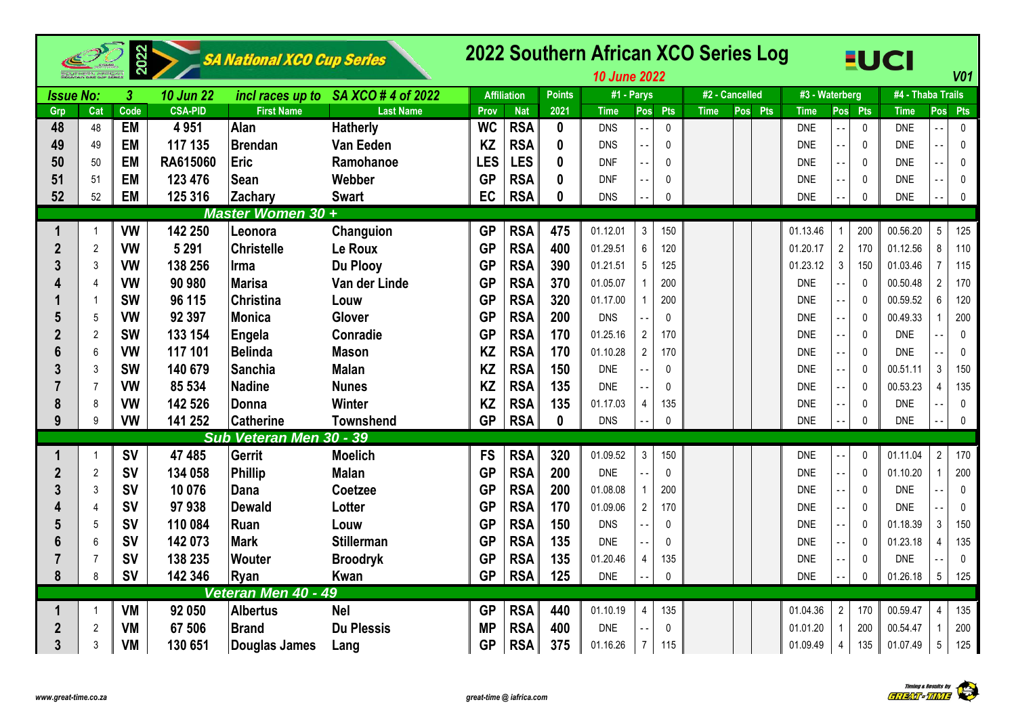|                  |                | 2022                    |                  | SA National XCO Cup Series |                                     |            |                    |                  | 2022 Southern African XCO Series Log<br><b>10 June 2022</b> |                        |             |                |         |                |                |                | <b>EUCI</b>       |                | <b>V01</b>   |
|------------------|----------------|-------------------------|------------------|----------------------------|-------------------------------------|------------|--------------------|------------------|-------------------------------------------------------------|------------------------|-------------|----------------|---------|----------------|----------------|----------------|-------------------|----------------|--------------|
| <b>Issue No:</b> |                | $\overline{\mathbf{3}}$ | <b>10 Jun 22</b> |                            | incl races up to SA XCO # 4 of 2022 |            | <b>Affiliation</b> | <b>Points</b>    | #1 - Parys                                                  |                        |             | #2 - Cancelled |         | #3 - Waterberg |                |                | #4 - Thaba Trails |                |              |
| Grp              | Cat            | Code                    | <b>CSA-PID</b>   | <b>First Name</b>          | <b>Last Name</b>                    | Prov       | <b>Nat</b>         | 2021             | <b>Time</b>                                                 | Pts<br>Pos             | <b>Time</b> |                | Pos Pts | <b>Time</b>    |                | Pos Pts        | <b>Time</b>       | Pos            | Pts          |
| 48               | 48             | <b>EM</b>               | 4951             | Alan                       | <b>Hatherly</b>                     | <b>WC</b>  | <b>RSA</b>         | $\boldsymbol{0}$ | <b>DNS</b>                                                  | $\mathbf{0}$           |             |                |         | <b>DNE</b>     |                | $\mathbf 0$    | <b>DNE</b>        |                | $\pmb{0}$    |
| 49               | 49             | <b>EM</b>               | 117 135          | <b>Brendan</b>             | Van Eeden                           | <b>KZ</b>  | <b>RSA</b>         | $\mathbf{0}$     | <b>DNS</b>                                                  | 0                      |             |                |         | <b>DNE</b>     |                | $\mathbf 0$    | <b>DNE</b>        |                | $\pmb{0}$    |
| 50               | 50             | <b>EM</b>               | RA615060         | Eric                       | Ramohanoe                           | <b>LES</b> | <b>LES</b>         | $\boldsymbol{0}$ | <b>DNF</b>                                                  | $\Omega$               |             |                |         | <b>DNE</b>     |                | $\mathbf{0}$   | <b>DNE</b>        |                | $\pmb{0}$    |
| 51               | 51             | <b>EM</b>               | 123 476          | Sean                       | Webber                              | <b>GP</b>  | <b>RSA</b>         | $\mathbf{0}$     | <b>DNF</b>                                                  | $\mathbf 0$            |             |                |         | <b>DNE</b>     |                | 0              | <b>DNE</b>        | $\overline{a}$ | $\mathbf 0$  |
| 52               | 52             | <b>EM</b>               | 125 316          | Zachary                    | <b>Swart</b>                        | EC         | <b>RSA</b>         | 0                | <b>DNS</b>                                                  | $\mathbf{0}$           |             |                |         | <b>DNE</b>     |                | $\Omega$       | <b>DNE</b>        |                | $\mathbf 0$  |
|                  |                |                         |                  | Master Women 30+           |                                     |            |                    |                  |                                                             |                        |             |                |         |                |                |                |                   |                |              |
| 1                |                | <b>VW</b>               | 142 250          | Leonora                    | Changuion                           | <b>GP</b>  | <b>RSA</b>         | 475              | 01.12.01                                                    | $\mathfrak{Z}$<br>150  |             |                |         | 01.13.46       |                | 200            | 00.56.20          | $\overline{5}$ | 125          |
| $\mathbf{2}$     | $\overline{2}$ | <b>VW</b>               | 5 2 9 1          | <b>Christelle</b>          | Le Roux                             | <b>GP</b>  | <b>RSA</b>         | 400              | 01.29.51                                                    | 6<br>120               |             |                |         | 01.20.17       | $\sqrt{2}$     | 170            | 01.12.56          | 8              | 110          |
| 3                | 3              | <b>VW</b>               | 138 256          | Irma                       | <b>Du Plooy</b>                     | <b>GP</b>  | <b>RSA</b>         | 390              | 01.21.51                                                    | $5\phantom{.0}$<br>125 |             |                |         | 01.23.12       | $\mathfrak{Z}$ | 150            | 01.03.46          | $\overline{7}$ | 115          |
|                  | $\overline{4}$ | <b>VW</b>               | 90 980           | <b>Marisa</b>              | Van der Linde                       | <b>GP</b>  | <b>RSA</b>         | 370              | 01.05.07                                                    | 200                    |             |                |         | <b>DNE</b>     |                | 0              | 00.50.48          | $\sqrt{2}$     | 170          |
|                  | -1             | <b>SW</b>               | 96 115           | Christina                  | Louw                                | <b>GP</b>  | <b>RSA</b>         | 320              | 01.17.00                                                    | 200                    |             |                |         | <b>DNE</b>     |                | 0              | 00.59.52          | 6              | 120          |
| 5                | 5              | <b>VW</b>               | 92 397           | <b>Monica</b>              | Glover                              | <b>GP</b>  | <b>RSA</b>         | 200              | <b>DNS</b>                                                  | $\mathbf{0}$           |             |                |         | <b>DNE</b>     |                | 0              | 00.49.33          |                | 200          |
| $\overline{2}$   | $\overline{2}$ | <b>SW</b>               | 133 154          | <b>Engela</b>              | <b>Conradie</b>                     | <b>GP</b>  | <b>RSA</b>         | 170              | 01.25.16                                                    | $\overline{2}$<br>170  |             |                |         | <b>DNE</b>     |                | 0              | <b>DNE</b>        |                | $\mathbf 0$  |
| 6                | 6              | <b>VW</b>               | 117 101          | <b>Belinda</b>             | <b>Mason</b>                        | <b>KZ</b>  | <b>RSA</b>         | 170              | 01.10.28                                                    | $\overline{2}$<br>170  |             |                |         | <b>DNE</b>     |                | $\mathbf{0}$   | <b>DNE</b>        |                | $\pmb{0}$    |
|                  | 3              | <b>SW</b>               | 140 679          | <b>Sanchia</b>             | <b>Malan</b>                        | <b>KZ</b>  | <b>RSA</b>         | 150              | <b>DNE</b>                                                  | $\mathbf{0}$           |             |                |         | <b>DNF</b>     |                | $\overline{0}$ | 00.51.11          | 3              | 150          |
|                  | $\overline{7}$ | <b>VW</b>               | 85 534           | <b>Nadine</b>              | <b>Nunes</b>                        | <b>KZ</b>  | <b>RSA</b>         | 135              | <b>DNE</b>                                                  | $\Omega$               |             |                |         | <b>DNE</b>     |                | $\mathbf{0}$   | 00.53.23          | $\overline{4}$ | 135          |
| 8                | 8              | <b>VW</b>               | 142 526          | Donna                      | <b>Winter</b>                       | <b>KZ</b>  | <b>RSA</b>         | 135              | 01.17.03                                                    | $\overline{4}$<br>135  |             |                |         | <b>DNE</b>     |                | 0              | <b>DNE</b>        |                | $\mathbf{0}$ |
| 9                | 9              | <b>VW</b>               | 141 252          | <b>Catherine</b>           | <b>Townshend</b>                    | <b>GP</b>  | <b>RSA</b>         | $\mathbf{0}$     | <b>DNS</b>                                                  | $\mathbf{0}$           |             |                |         | <b>DNE</b>     |                | $\Omega$       | <b>DNE</b>        |                | $\mathbf{0}$ |
|                  |                |                         |                  | Sub Veteran Men 30 - 39    |                                     |            |                    |                  |                                                             |                        |             |                |         |                |                |                |                   |                |              |
|                  |                | <b>SV</b>               | 47 485           | <b>Gerrit</b>              | <b>Moelich</b>                      | <b>FS</b>  | <b>RSA</b>         | 320              | 01.09.52                                                    | $\mathfrak{Z}$<br>150  |             |                |         | <b>DNE</b>     |                | $\mathbf{0}$   | 01.11.04          | $\overline{2}$ | 170          |
| $\boldsymbol{2}$ | $\sqrt{2}$     | <b>SV</b>               | 134 058          | <b>Phillip</b>             | <b>Malan</b>                        | <b>GP</b>  | <b>RSA</b>         | 200              | <b>DNE</b>                                                  | $\mathbf{0}$           |             |                |         | <b>DNE</b>     |                | $\mathbf{0}$   | 01.10.20          | $\overline{1}$ | 200          |
|                  | 3              | <b>SV</b>               | 10 076           | Dana                       | Coetzee                             | <b>GP</b>  | <b>RSA</b>         | 200              | 01.08.08                                                    | 200                    |             |                |         | <b>DNE</b>     |                | $\mathbf{0}$   | <b>DNE</b>        |                | $\pmb{0}$    |
|                  | $\overline{4}$ | <b>SV</b>               | 97938            | <b>Dewald</b>              | Lotter                              | <b>GP</b>  | <b>RSA</b>         | 170              | 01.09.06                                                    | $\overline{2}$<br>170  |             |                |         | <b>DNE</b>     | $\sim$ $\sim$  | 0              | <b>DNE</b>        |                | $\pmb{0}$    |
|                  | 5              | <b>SV</b>               | 110 084          | Ruan                       | Louw                                | <b>GP</b>  | <b>RSA</b>         | 150              | <b>DNS</b>                                                  | 0                      |             |                |         | <b>DNE</b>     |                | 0              | 01.18.39          | 3              | 150          |
|                  | 6              | <b>SV</b>               | 142 073          | <b>Mark</b>                | <b>Stillerman</b>                   | <b>GP</b>  | <b>RSA</b>         | 135              | <b>DNE</b>                                                  | $\mathbf{0}$           |             |                |         | <b>DNE</b>     |                | $\mathbf 0$    | 01.23.18          | $\overline{4}$ | 135          |
|                  | $\overline{7}$ | <b>SV</b>               | 138 235          | <b>Wouter</b>              | <b>Broodryk</b>                     | <b>GP</b>  | <b>RSA</b>         | 135              | 01.20.46                                                    | $\overline{4}$<br>135  |             |                |         | <b>DNE</b>     |                | 0              | <b>DNE</b>        |                | $\pmb{0}$    |
| 8                | 8              | <b>SV</b>               | 142 346          | Ryan                       | Kwan                                | <b>GP</b>  | <b>RSA</b>         | 125              | <b>DNE</b>                                                  | $\mathbf{0}$           |             |                |         | <b>DNE</b>     |                | $\Omega$       | 01.26.18          | 5              | 125          |
|                  |                |                         |                  | Veteran Men 40 - 49        |                                     |            |                    |                  |                                                             |                        |             |                |         |                |                |                |                   |                |              |
| 1                |                | <b>VM</b>               | 92 050           | <b>Albertus</b>            | <b>Nel</b>                          | <b>GP</b>  | <b>RSA</b>         | 440              | 01.10.19                                                    | $\overline{4}$<br>135  |             |                |         | 01.04.36       | $\overline{2}$ | 170            | 00.59.47          | $\overline{4}$ | 135          |
| $\boldsymbol{2}$ | $\overline{2}$ | <b>VM</b>               | 67 506           | <b>Brand</b>               | <b>Du Plessis</b>                   | <b>MP</b>  | <b>RSA</b>         | 400              | <b>DNE</b>                                                  | 0                      |             |                |         | 01.01.20       |                | 200            | 00.54.47          | $\overline{1}$ | 200          |
| 3                | 3              | <b>VM</b>               | 130 651          | Douglas James              | Lang                                | <b>GP</b>  | <b>RSA</b>         | 375              | 01.16.26                                                    | $7^{\circ}$<br>115     |             |                |         | 01.09.49       | $\overline{4}$ | 135            | 01.07.49          | $5\,$          | 125          |